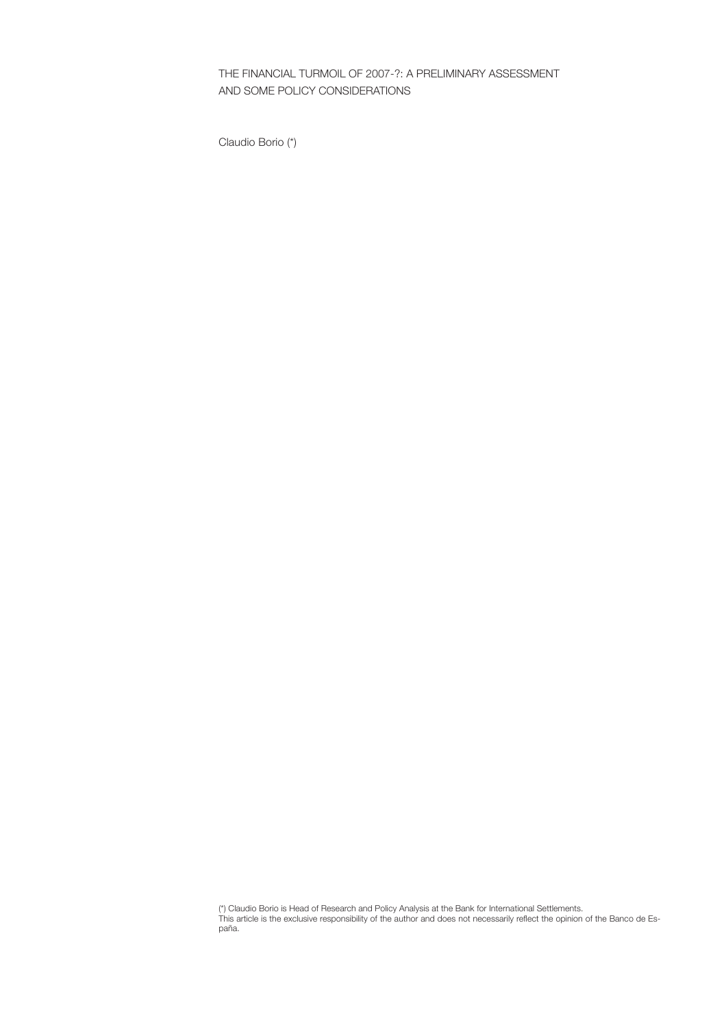THE FINANCIAL TURMOIL OF 2007-?: A PRELIMINARY ASSESSMENT AND SOME POLICY CONSIDERATIONS

Claudio Borio (\*)

(\*) Claudio Borio is Head of Research and Policy Analysis at the Bank for International Settlements. This article is the exclusive responsibility of the author and does not necessarily reflect the opinion of the Banco de España.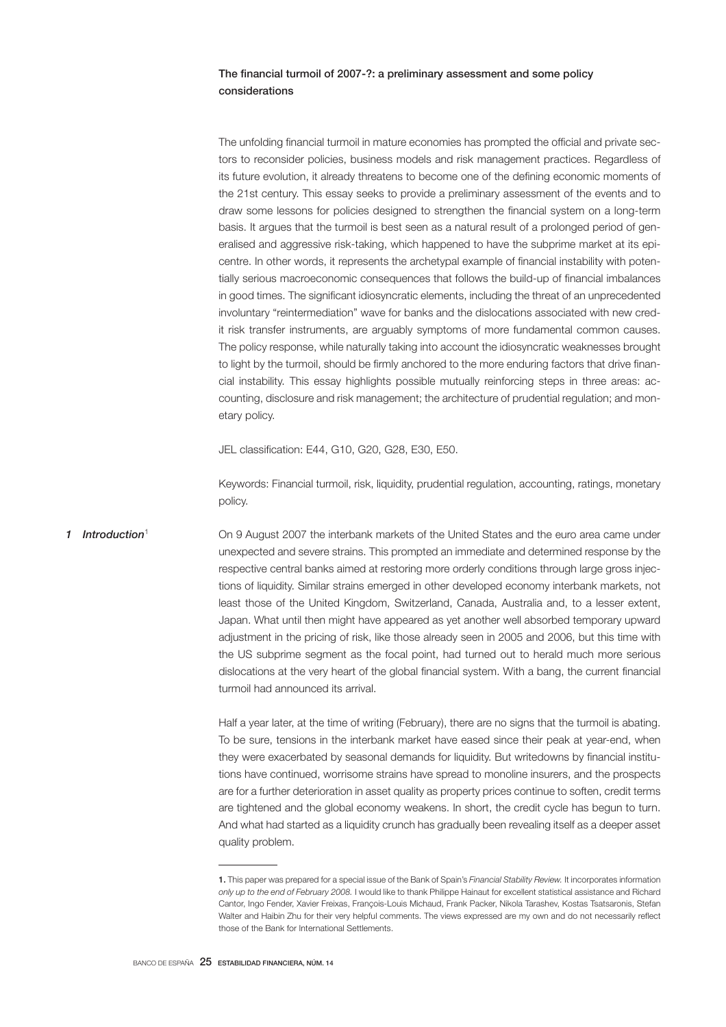# The financial turmoil of 2007-?: a preliminary assessment and some policy considerations

The unfolding financial turmoil in mature economies has prompted the official and private sectors to reconsider policies, business models and risk management practices. Regardless of its future evolution, it already threatens to become one of the defining economic moments of the 21st century. This essay seeks to provide a preliminary assessment of the events and to draw some lessons for policies designed to strengthen the financial system on a long-term basis. It argues that the turmoil is best seen as a natural result of a prolonged period of generalised and aggressive risk-taking, which happened to have the subprime market at its epicentre. In other words, it represents the archetypal example of financial instability with potentially serious macroeconomic consequences that follows the build-up of financial imbalances in good times. The significant idiosyncratic elements, including the threat of an unprecedented involuntary "reintermediation" wave for banks and the dislocations associated with new credit risk transfer instruments, are arguably symptoms of more fundamental common causes. The policy response, while naturally taking into account the idiosyncratic weaknesses brought to light by the turmoil, should be firmly anchored to the more enduring factors that drive financial instability. This essay highlights possible mutually reinforcing steps in three areas: accounting, disclosure and risk management; the architecture of prudential regulation; and monetary policy.

JEL classification: E44, G10, G20, G28, E30, E50.

Keywords: Financial turmoil, risk, liquidity, prudential regulation, accounting, ratings, monetary policy.

### *1 Introduction*<sup>1</sup>

On 9 August 2007 the interbank markets of the United States and the euro area came under unexpected and severe strains. This prompted an immediate and determined response by the respective central banks aimed at restoring more orderly conditions through large gross injections of liquidity. Similar strains emerged in other developed economy interbank markets, not least those of the United Kingdom, Switzerland, Canada, Australia and, to a lesser extent, Japan. What until then might have appeared as yet another well absorbed temporary upward adjustment in the pricing of risk, like those already seen in 2005 and 2006, but this time with the US subprime segment as the focal point, had turned out to herald much more serious dislocations at the very heart of the global financial system. With a bang, the current financial turmoil had announced its arrival.

Half a year later, at the time of writing (February), there are no signs that the turmoil is abating. To be sure, tensions in the interbank market have eased since their peak at year-end, when they were exacerbated by seasonal demands for liquidity. But writedowns by financial institutions have continued, worrisome strains have spread to monoline insurers, and the prospects are for a further deterioration in asset quality as property prices continue to soften, credit terms are tightened and the global economy weakens. In short, the credit cycle has begun to turn. And what had started as a liquidity crunch has gradually been revealing itself as a deeper asset quality problem.

<sup>1.</sup> This paper was prepared for a special issue of the Bank of Spain's *Financial Stability Review.* It incorporates information *only up to the end of February 2008.* I would like to thank Philippe Hainaut for excellent statistical assistance and Richard Cantor, Ingo Fender, Xavier Freixas, François-Louis Michaud, Frank Packer, Nikola Tarashev, Kostas Tsatsaronis, Stefan Walter and Haibin Zhu for their very helpful comments. The views expressed are my own and do not necessarily reflect those of the Bank for International Settlements.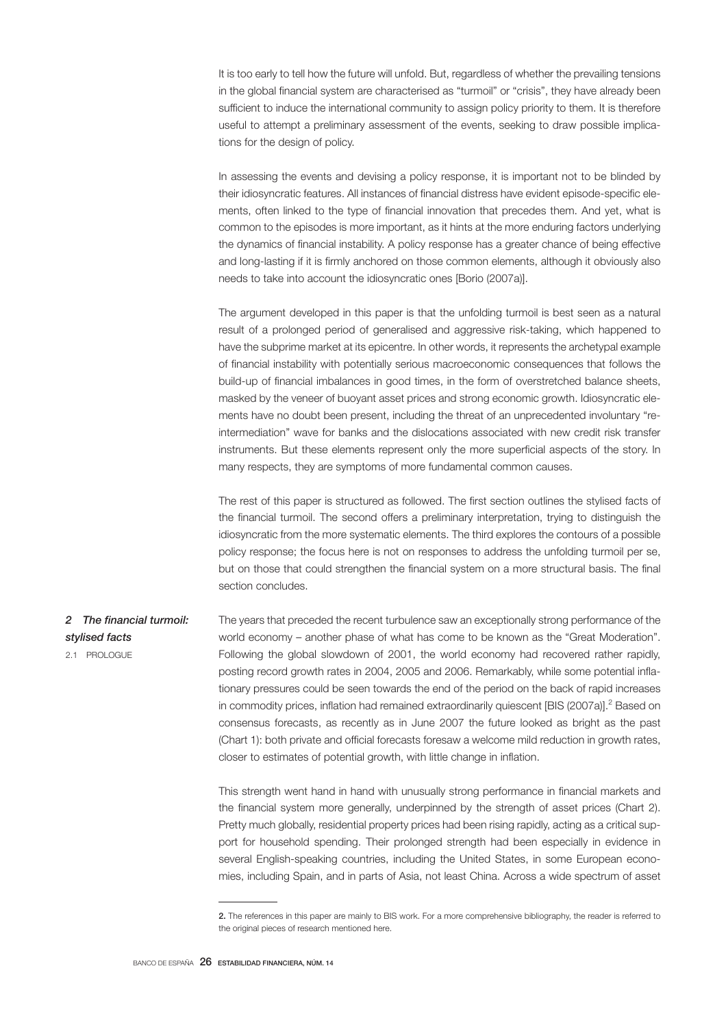It is too early to tell how the future will unfold. But, regardless of whether the prevailing tensions in the global financial system are characterised as "turmoil" or "crisis", they have already been sufficient to induce the international community to assign policy priority to them. It is therefore useful to attempt a preliminary assessment of the events, seeking to draw possible implications for the design of policy.

In assessing the events and devising a policy response, it is important not to be blinded by their idiosyncratic features. All instances of financial distress have evident episode-specific elements, often linked to the type of financial innovation that precedes them. And yet, what is common to the episodes is more important, as it hints at the more enduring factors underlying the dynamics of financial instability. A policy response has a greater chance of being effective and long-lasting if it is firmly anchored on those common elements, although it obviously also needs to take into account the idiosyncratic ones [Borio (2007a)].

The argument developed in this paper is that the unfolding turmoil is best seen as a natural result of a prolonged period of generalised and aggressive risk-taking, which happened to have the subprime market at its epicentre. In other words, it represents the archetypal example of financial instability with potentially serious macroeconomic consequences that follows the build-up of financial imbalances in good times, in the form of overstretched balance sheets, masked by the veneer of buoyant asset prices and strong economic growth. Idiosyncratic elements have no doubt been present, including the threat of an unprecedented involuntary "reintermediation" wave for banks and the dislocations associated with new credit risk transfer instruments. But these elements represent only the more superficial aspects of the story. In many respects, they are symptoms of more fundamental common causes.

The rest of this paper is structured as followed. The first section outlines the stylised facts of the financial turmoil. The second offers a preliminary interpretation, trying to distinguish the idiosyncratic from the more systematic elements. The third explores the contours of a possible policy response; the focus here is not on responses to address the unfolding turmoil per se, but on those that could strengthen the financial system on a more structural basis. The final section concludes.

#### The years that preceded the recent turbulence saw an exceptionally strong performance of the world economy – another phase of what has come to be known as the "Great Moderation". Following the global slowdown of 2001, the world economy had recovered rather rapidly, posting record growth rates in 2004, 2005 and 2006. Remarkably, while some potential inflationary pressures could be seen towards the end of the period on the back of rapid increases in commodity prices, inflation had remained extraordinarily quiescent [BIS (2007a)].<sup>2</sup> Based on consensus forecasts, as recently as in June 2007 the future looked as bright as the past (Chart 1): both private and official forecasts foresaw a welcome mild reduction in growth rates, closer to estimates of potential growth, with little change in inflation. *2 The financial turmoil: stylised facts* 2.1 PROLOGUE

This strength went hand in hand with unusually strong performance in financial markets and the financial system more generally, underpinned by the strength of asset prices (Chart 2). Pretty much globally, residential property prices had been rising rapidly, acting as a critical support for household spending. Their prolonged strength had been especially in evidence in several English-speaking countries, including the United States, in some European economies, including Spain, and in parts of Asia, not least China. Across a wide spectrum of asset

<sup>2.</sup> The references in this paper are mainly to BIS work. For a more comprehensive bibliography, the reader is referred to the original pieces of research mentioned here.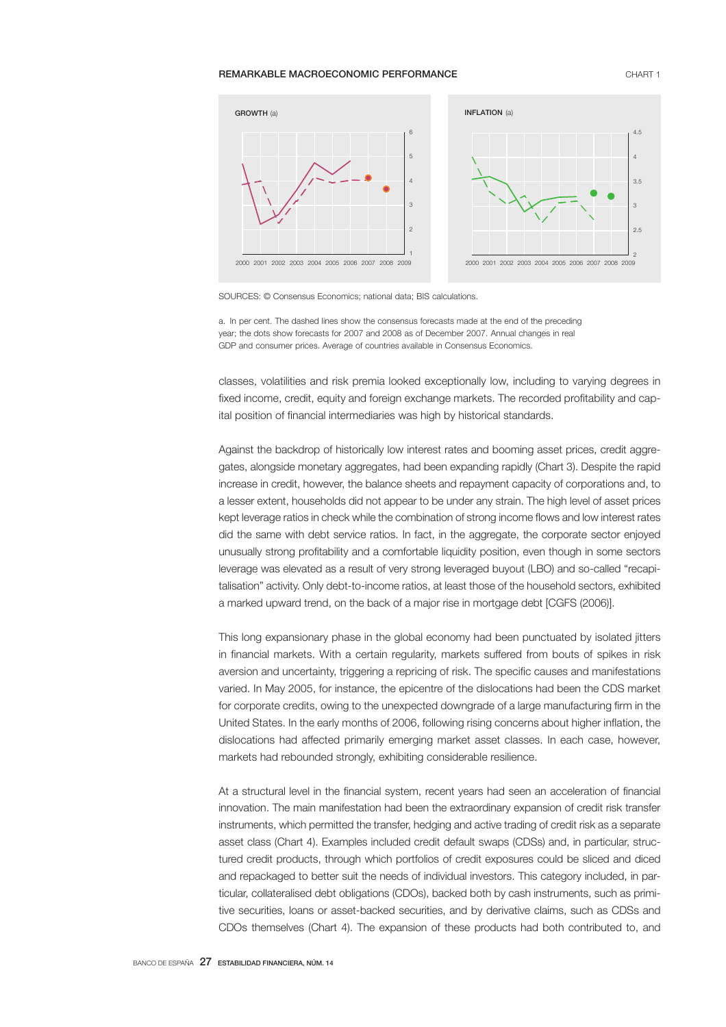### **REMARKABLE MACROECONOMIC PERFORMANCE CHART 1** CHART 1



SOURCES: © Consensus Economics; national data; BIS calculations.

a. In per cent. The dashed lines show the consensus forecasts made at the end of the preceding year; the dots show forecasts for 2007 and 2008 as of December 2007. Annual changes in real GDP and consumer prices. Average of countries available in Consensus Economics.

classes, volatilities and risk premia looked exceptionally low, including to varying degrees in fixed income, credit, equity and foreign exchange markets. The recorded profitability and capital position of financial intermediaries was high by historical standards.

Against the backdrop of historically low interest rates and booming asset prices, credit aggregates, alongside monetary aggregates, had been expanding rapidly (Chart 3). Despite the rapid increase in credit, however, the balance sheets and repayment capacity of corporations and, to a lesser extent, households did not appear to be under any strain. The high level of asset prices kept leverage ratios in check while the combination of strong income flows and low interest rates did the same with debt service ratios. In fact, in the aggregate, the corporate sector enjoyed unusually strong profitability and a comfortable liquidity position, even though in some sectors leverage was elevated as a result of very strong leveraged buyout (LBO) and so-called "recapitalisation" activity. Only debt-to-income ratios, at least those of the household sectors, exhibited a marked upward trend, on the back of a major rise in mortgage debt [CGFS (2006)].

This long expansionary phase in the global economy had been punctuated by isolated jitters in financial markets. With a certain regularity, markets suffered from bouts of spikes in risk aversion and uncertainty, triggering a repricing of risk. The specific causes and manifestations varied. In May 2005, for instance, the epicentre of the dislocations had been the CDS market for corporate credits, owing to the unexpected downgrade of a large manufacturing firm in the United States. In the early months of 2006, following rising concerns about higher inflation, the dislocations had affected primarily emerging market asset classes. In each case, however, markets had rebounded strongly, exhibiting considerable resilience.

At a structural level in the financial system, recent years had seen an acceleration of financial innovation. The main manifestation had been the extraordinary expansion of credit risk transfer instruments, which permitted the transfer, hedging and active trading of credit risk as a separate asset class (Chart 4). Examples included credit default swaps (CDSs) and, in particular, structured credit products, through which portfolios of credit exposures could be sliced and diced and repackaged to better suit the needs of individual investors. This category included, in particular, collateralised debt obligations (CDOs), backed both by cash instruments, such as primitive securities, loans or asset-backed securities, and by derivative claims, such as CDSs and CDOs themselves (Chart 4). The expansion of these products had both contributed to, and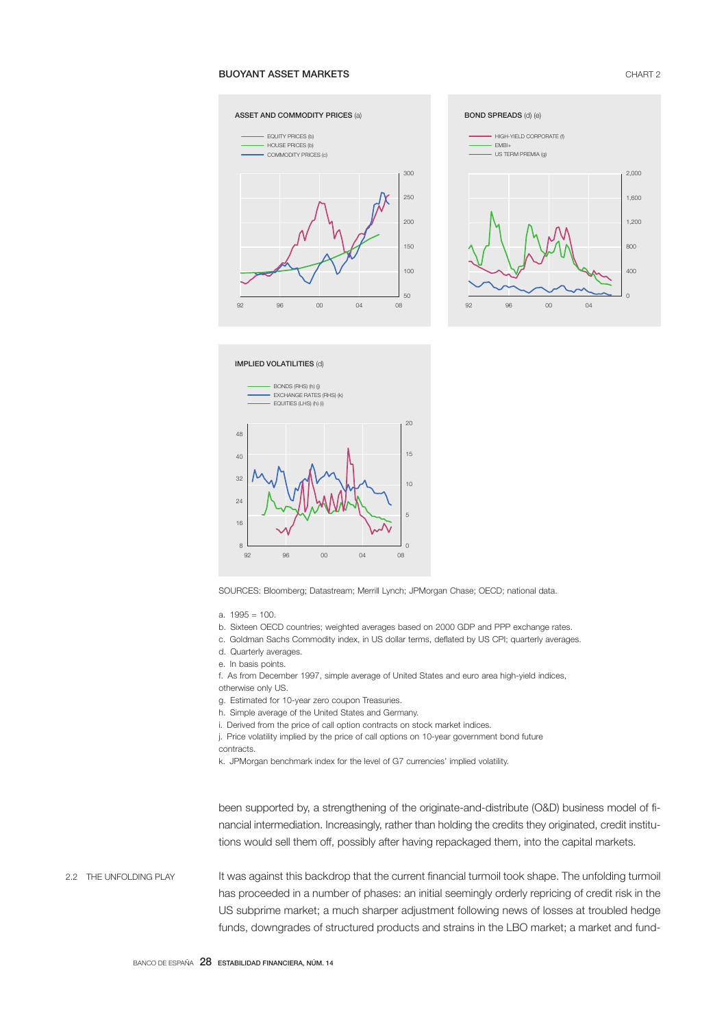# BUOYANT ASSET MARKETS CHART 2





IMPLIED VOLATILITIES (d)



SOURCES: Bloomberg; Datastream; Merrill Lynch; JPMorgan Chase; OECD; national data.

- b. Sixteen OECD countries; weighted averages based on 2000 GDP and PPP exchange rates.
- c. Goldman Sachs Commodity index, in US dollar terms, deflated by US CPI; quarterly averages.
- d. Quarterly averages.
- e. In basis points.
- f. As from December 1997, simple average of United States and euro area high-yield indices,
- otherwise only US.
- g. Estimated for 10-year zero coupon Treasuries.
- h. Simple average of the United States and Germany.
- i. Derived from the price of call option contracts on stock market indices.
- j. Price volatility implied by the price of call options on 10-year government bond future
- contracts.

k. JPMorgan benchmark index for the level of G7 currencies' implied volatility.

been supported by, a strengthening of the originate-and-distribute (O&D) business model of financial intermediation. Increasingly, rather than holding the credits they originated, credit institutions would sell them off, possibly after having repackaged them, into the capital markets.

It was against this backdrop that the current financial turmoil took shape. The unfolding turmoil has proceeded in a number of phases: an initial seemingly orderly repricing of credit risk in the US subprime market; a much sharper adjustment following news of losses at troubled hedge funds, downgrades of structured products and strains in the LBO market; a market and fund-2.2 THE UNFOLDING PLAY

a. 1995 = 100.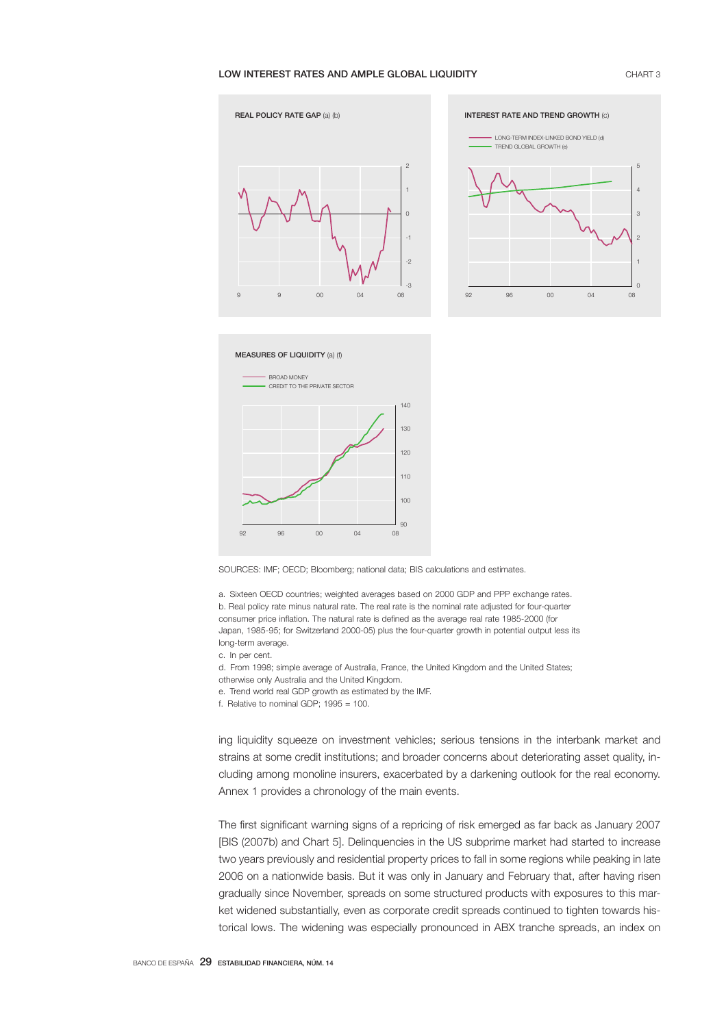# LOW INTEREST RATES AND AMPLE GLOBAL LIQUIDITY **CHART 3** CHART 3







SOURCES: IMF; OECD; Bloomberg; national data; BIS calculations and estimates.

a. Sixteen OECD countries; weighted averages based on 2000 GDP and PPP exchange rates. b. Real policy rate minus natural rate. The real rate is the nominal rate adjusted for four-quarter consumer price inflation. The natural rate is defined as the average real rate 1985-2000 (for Japan, 1985-95; for Switzerland 2000-05) plus the four-quarter growth in potential output less its long-term average.

- c. In per cent.
- d. From 1998; simple average of Australia, France, the United Kingdom and the United States;
- otherwise only Australia and the United Kingdom.
- e. Trend world real GDP growth as estimated by the IMF.
- f. Relative to nominal GDP;  $1995 = 100$ .

ing liquidity squeeze on investment vehicles; serious tensions in the interbank market and strains at some credit institutions; and broader concerns about deteriorating asset quality, including among monoline insurers, exacerbated by a darkening outlook for the real economy. Annex 1 provides a chronology of the main events.

The first significant warning signs of a repricing of risk emerged as far back as January 2007 [BIS (2007b) and Chart 5]. Delinquencies in the US subprime market had started to increase two years previously and residential property prices to fall in some regions while peaking in late 2006 on a nationwide basis. But it was only in January and February that, after having risen gradually since November, spreads on some structured products with exposures to this market widened substantially, even as corporate credit spreads continued to tighten towards historical lows. The widening was especially pronounced in ABX tranche spreads, an index on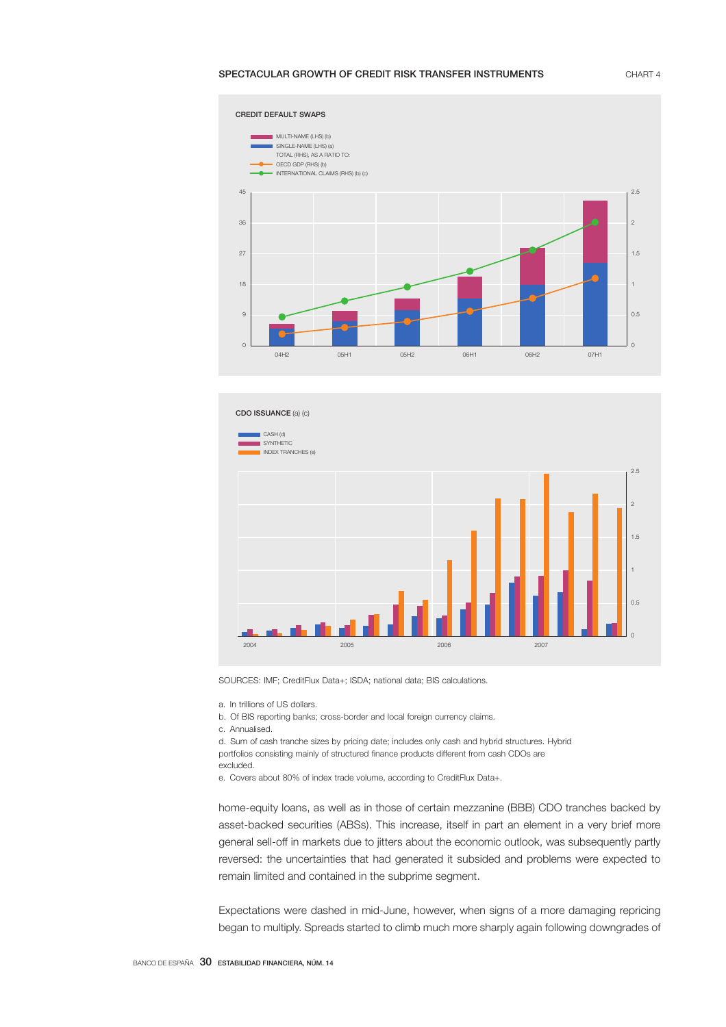# SPECTACULAR GROWTH OF CREDIT RISK TRANSFER INSTRUMENTS CHART 4





SOURCES: IMF; CreditFlux Data+; ISDA; national data; BIS calculations.

a. In trillions of US dollars.

b. Of BIS reporting banks; cross-border and local foreign currency claims.

c. Annualised.

d. Sum of cash tranche sizes by pricing date; includes only cash and hybrid structures. Hybrid portfolios consisting mainly of structured finance products different from cash CDOs are

e. Covers about 80% of index trade volume, according to CreditFlux Data+.

home-equity loans, as well as in those of certain mezzanine (BBB) CDO tranches backed by asset-backed securities (ABSs). This increase, itself in part an element in a very brief more general sell-off in markets due to jitters about the economic outlook, was subsequently partly reversed: the uncertainties that had generated it subsided and problems were expected to remain limited and contained in the subprime segment.

Expectations were dashed in mid-June, however, when signs of a more damaging repricing began to multiply. Spreads started to climb much more sharply again following downgrades of

excluded.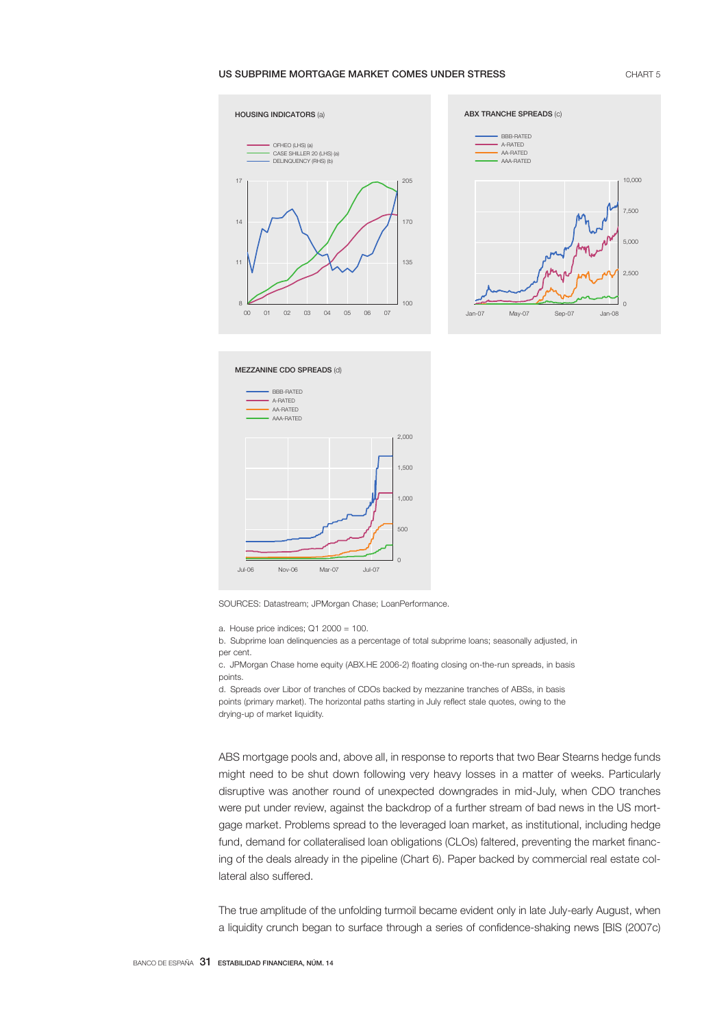### US SUBPRIME MORTGAGE MARKET COMES UNDER STRESS **CHART 5** CHART 5







SOURCES: Datastream; JPMorgan Chase; LoanPerformance.

a. House price indices; Q1 2000 = 100.

b. Subprime loan delinquencies as a percentage of total subprime loans; seasonally adjusted, in per cent.

c. JPMorgan Chase home equity (ABX.HE 2006-2) floating closing on-the-run spreads, in basis points.

d. Spreads over Libor of tranches of CDOs backed by mezzanine tranches of ABSs, in basis points (primary market). The horizontal paths starting in July reflect stale quotes, owing to the drying-up of market liquidity.

ABS mortgage pools and, above all, in response to reports that two Bear Stearns hedge funds might need to be shut down following very heavy losses in a matter of weeks. Particularly disruptive was another round of unexpected downgrades in mid-July, when CDO tranches were put under review, against the backdrop of a further stream of bad news in the US mortgage market. Problems spread to the leveraged loan market, as institutional, including hedge fund, demand for collateralised loan obligations (CLOs) faltered, preventing the market financing of the deals already in the pipeline (Chart 6). Paper backed by commercial real estate collateral also suffered.

The true amplitude of the unfolding turmoil became evident only in late July-early August, when a liquidity crunch began to surface through a series of confidence-shaking news [BIS (2007c)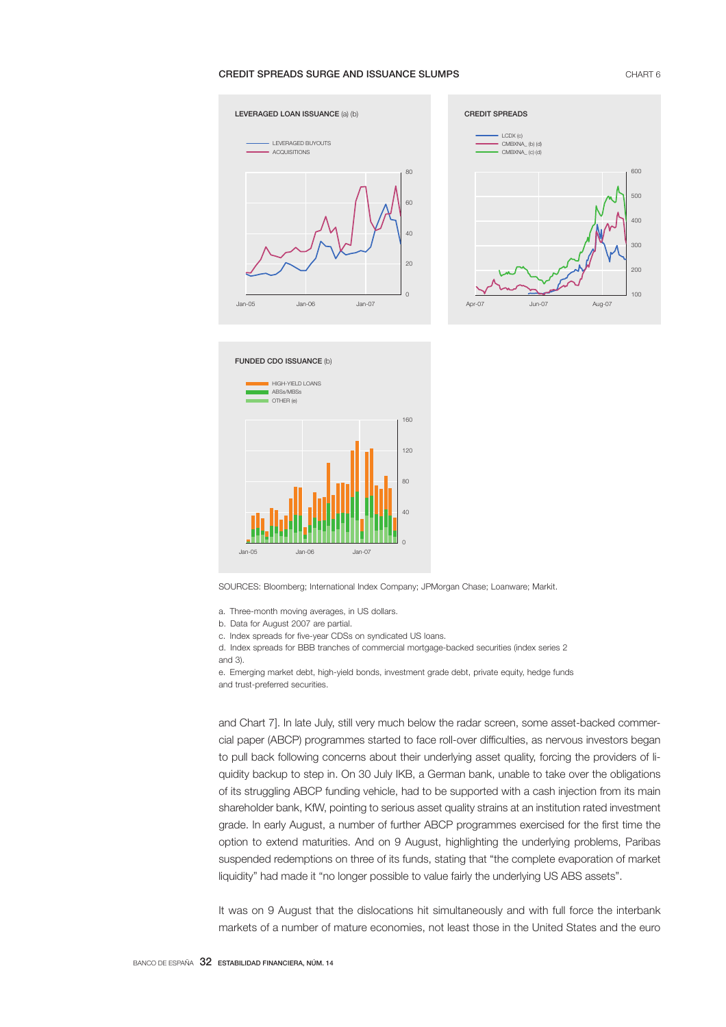## **CREDIT SPREADS SURGE AND ISSUANCE SLUMPS CHART 6** CHART 6







SOURCES: Bloomberg; International Index Company; JPMorgan Chase; Loanware; Markit.

- a. Three-month moving averages, in US dollars.
- b. Data for August 2007 are partial.
- c. Index spreads for five-year CDSs on syndicated US loans.

d. Index spreads for BBB tranches of commercial mortgage-backed securities (index series 2 and 3).

e. Emerging market debt, high-yield bonds, investment grade debt, private equity, hedge funds and trust-preferred securities.

and Chart 7]. In late July, still very much below the radar screen, some asset-backed commercial paper (ABCP) programmes started to face roll-over difficulties, as nervous investors began to pull back following concerns about their underlying asset quality, forcing the providers of liquidity backup to step in. On 30 July IKB, a German bank, unable to take over the obligations of its struggling ABCP funding vehicle, had to be supported with a cash injection from its main shareholder bank, KfW, pointing to serious asset quality strains at an institution rated investment grade. In early August, a number of further ABCP programmes exercised for the first time the option to extend maturities. And on 9 August, highlighting the underlying problems, Paribas suspended redemptions on three of its funds, stating that "the complete evaporation of market liquidity" had made it "no longer possible to value fairly the underlying US ABS assets".

It was on 9 August that the dislocations hit simultaneously and with full force the interbank markets of a number of mature economies, not least those in the United States and the euro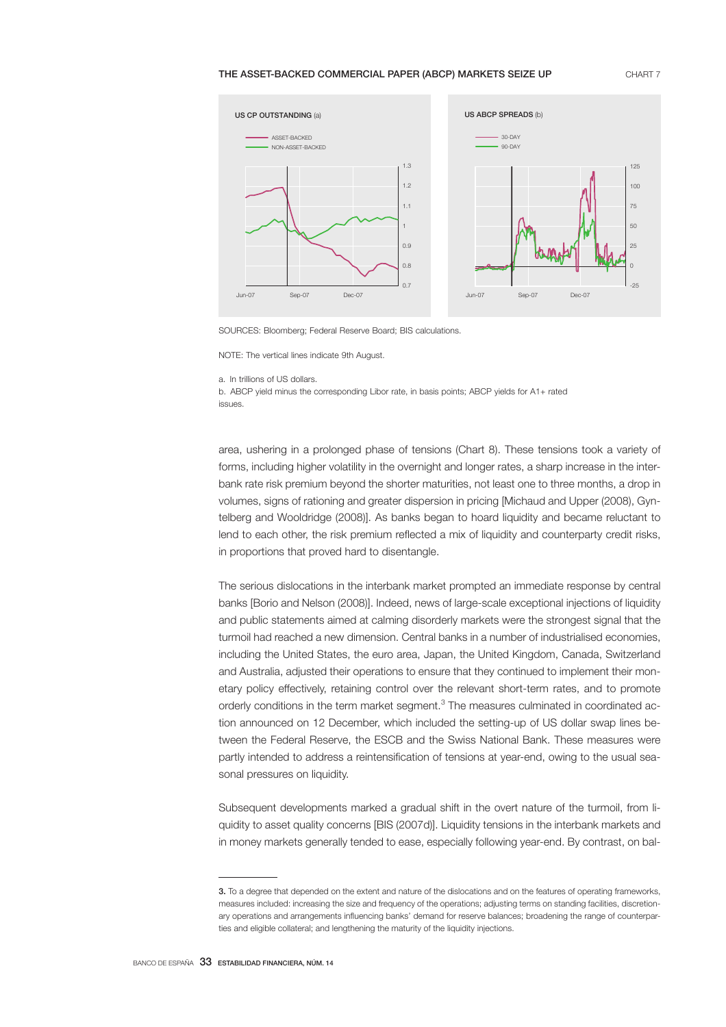#### THE ASSET-BACKED COMMERCIAL PAPER (ABCP) MARKETS SEIZE UP CHART 7



SOURCES: Bloomberg; Federal Reserve Board; BIS calculations.

NOTE: The vertical lines indicate 9th August.

a. In trillions of US dollars.

b. ABCP yield minus the corresponding Libor rate, in basis points; ABCP yields for A1+ rated issues.

area, ushering in a prolonged phase of tensions (Chart 8). These tensions took a variety of forms, including higher volatility in the overnight and longer rates, a sharp increase in the interbank rate risk premium beyond the shorter maturities, not least one to three months, a drop in volumes, signs of rationing and greater dispersion in pricing [Michaud and Upper (2008), Gyntelberg and Wooldridge (2008)]. As banks began to hoard liquidity and became reluctant to lend to each other, the risk premium reflected a mix of liquidity and counterparty credit risks, in proportions that proved hard to disentangle.

The serious dislocations in the interbank market prompted an immediate response by central banks [Borio and Nelson (2008)]. Indeed, news of large-scale exceptional injections of liquidity and public statements aimed at calming disorderly markets were the strongest signal that the turmoil had reached a new dimension. Central banks in a number of industrialised economies, including the United States, the euro area, Japan, the United Kingdom, Canada, Switzerland and Australia, adjusted their operations to ensure that they continued to implement their monetary policy effectively, retaining control over the relevant short-term rates, and to promote orderly conditions in the term market segment.<sup>3</sup> The measures culminated in coordinated action announced on 12 December, which included the setting-up of US dollar swap lines between the Federal Reserve, the ESCB and the Swiss National Bank. These measures were partly intended to address a reintensification of tensions at year-end, owing to the usual seasonal pressures on liquidity.

Subsequent developments marked a gradual shift in the overt nature of the turmoil, from liquidity to asset quality concerns [BIS (2007d)]. Liquidity tensions in the interbank markets and in money markets generally tended to ease, especially following year-end. By contrast, on bal-

<sup>3.</sup> To a degree that depended on the extent and nature of the dislocations and on the features of operating frameworks, measures included: increasing the size and frequency of the operations; adjusting terms on standing facilities, discretionary operations and arrangements influencing banks' demand for reserve balances; broadening the range of counterparties and eligible collateral; and lengthening the maturity of the liquidity injections.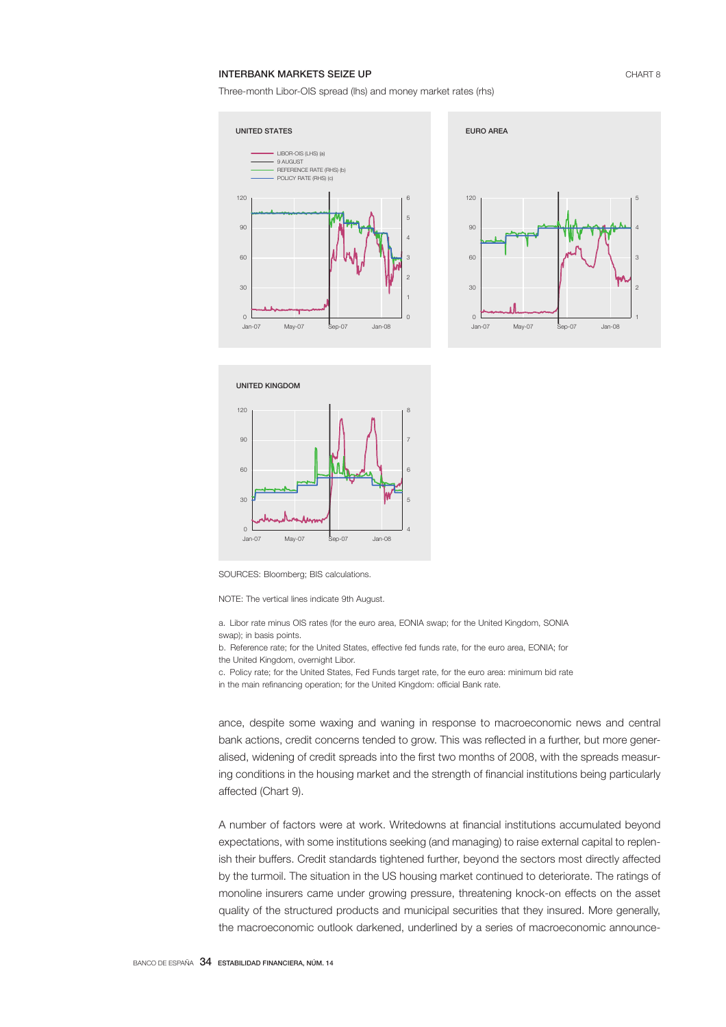## **INTERBANK MARKETS SEIZE UP CHART 8**

Three-month Libor-OIS spread (lhs) and money market rates (rhs)







SOURCES: Bloomberg; BIS calculations.

NOTE: The vertical lines indicate 9th August.

a. Libor rate minus OIS rates (for the euro area, EONIA swap; for the United Kingdom, SONIA swap); in basis points.

b. Reference rate; for the United States, effective fed funds rate, for the euro area, EONIA; for the United Kingdom, overnight Libor.

c. Policy rate; for the United States, Fed Funds target rate, for the euro area: minimum bid rate in the main refinancing operation; for the United Kingdom: official Bank rate.

ance, despite some waxing and waning in response to macroeconomic news and central bank actions, credit concerns tended to grow. This was reflected in a further, but more generalised, widening of credit spreads into the first two months of 2008, with the spreads measuring conditions in the housing market and the strength of financial institutions being particularly affected (Chart 9).

A number of factors were at work. Writedowns at financial institutions accumulated beyond expectations, with some institutions seeking (and managing) to raise external capital to replenish their buffers. Credit standards tightened further, beyond the sectors most directly affected by the turmoil. The situation in the US housing market continued to deteriorate. The ratings of monoline insurers came under growing pressure, threatening knock-on effects on the asset quality of the structured products and municipal securities that they insured. More generally, the macroeconomic outlook darkened, underlined by a series of macroeconomic announce-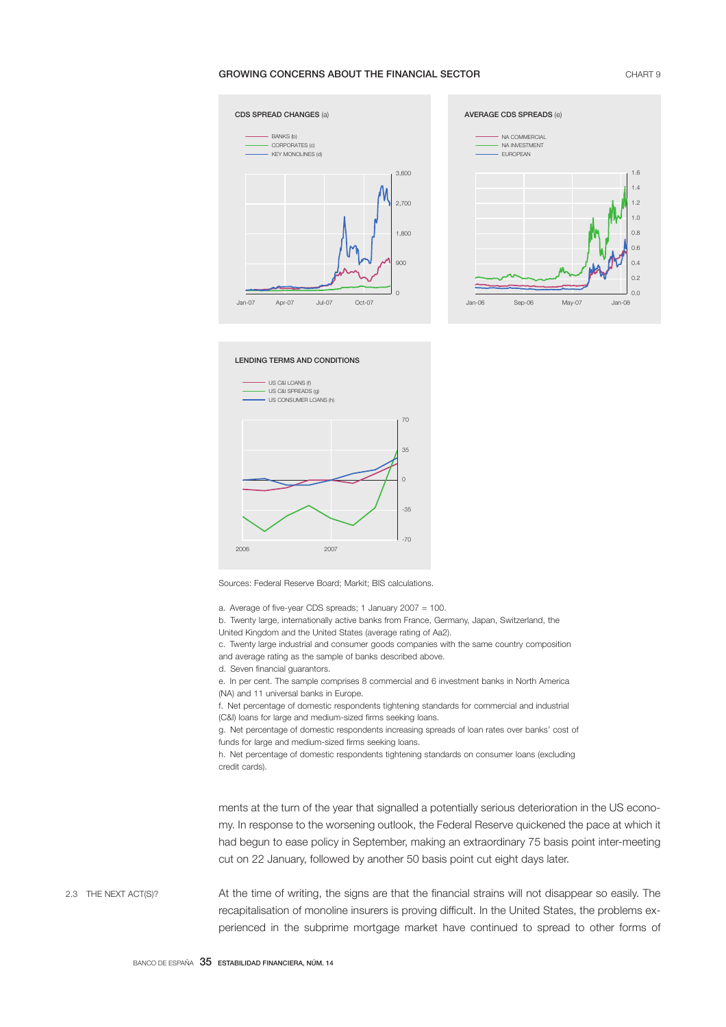# GROWING CONCERNS ABOUT THE FINANCIAL SECTOR **CHART 9** CHART 9





LENDING TERMS AND CONDITIONS



Sources: Federal Reserve Board; Markit; BIS calculations.

a. Average of five-year CDS spreads; 1 January 2007 = 100.

b. Twenty large, internationally active banks from France, Germany, Japan, Switzerland, the

United Kingdom and the United States (average rating of Aa2).

c. Twenty large industrial and consumer goods companies with the same country composition and average rating as the sample of banks described above.

d. Seven financial guarantors.

e. In per cent. The sample comprises 8 commercial and 6 investment banks in North America (NA) and 11 universal banks in Europe.

f. Net percentage of domestic respondents tightening standards for commercial and industrial (C&I) loans for large and medium-sized firms seeking loans.

g. Net percentage of domestic respondents increasing spreads of loan rates over banks' cost of funds for large and medium-sized firms seeking loans.

h. Net percentage of domestic respondents tightening standards on consumer loans (excluding credit cards).

ments at the turn of the year that signalled a potentially serious deterioration in the US economy. In response to the worsening outlook, the Federal Reserve quickened the pace at which it had begun to ease policy in September, making an extraordinary 75 basis point inter-meeting cut on 22 January, followed by another 50 basis point cut eight days later.

At the time of writing, the signs are that the financial strains will not disappear so easily. The recapitalisation of monoline insurers is proving difficult. In the United States, the problems experienced in the subprime mortgage market have continued to spread to other forms of 2.3 THE NEXT ACT(S)?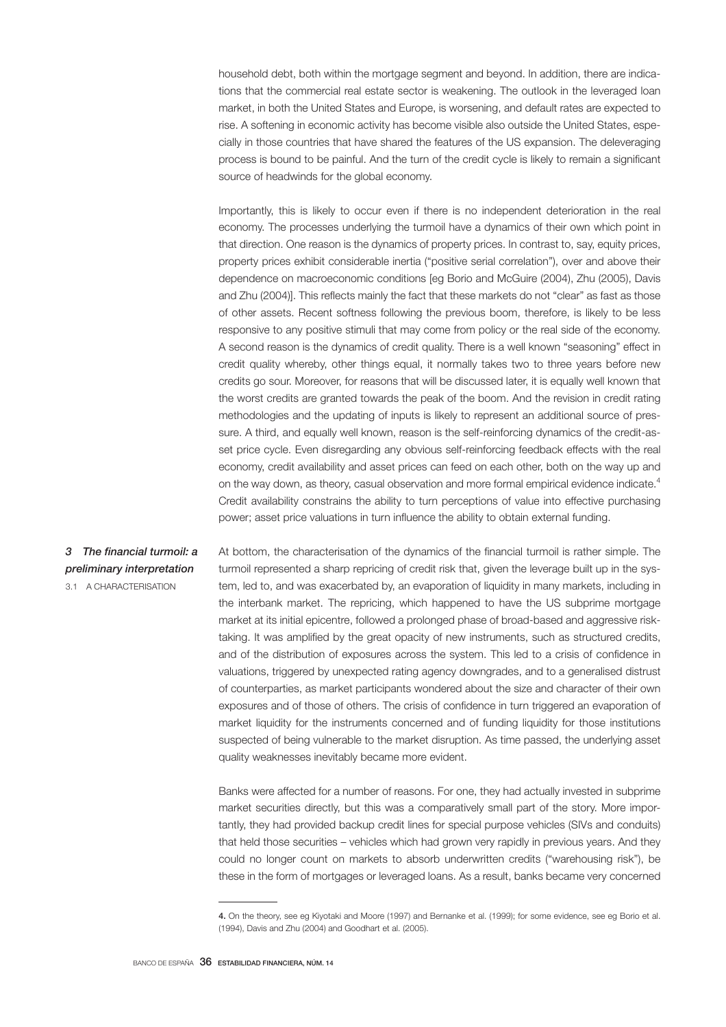household debt, both within the mortgage segment and beyond. In addition, there are indications that the commercial real estate sector is weakening. The outlook in the leveraged loan market, in both the United States and Europe, is worsening, and default rates are expected to rise. A softening in economic activity has become visible also outside the United States, especially in those countries that have shared the features of the US expansion. The deleveraging process is bound to be painful. And the turn of the credit cycle is likely to remain a significant source of headwinds for the global economy.

Importantly, this is likely to occur even if there is no independent deterioration in the real economy. The processes underlying the turmoil have a dynamics of their own which point in that direction. One reason is the dynamics of property prices. In contrast to, say, equity prices, property prices exhibit considerable inertia ("positive serial correlation"), over and above their dependence on macroeconomic conditions [eg Borio and McGuire (2004), Zhu (2005), Davis and Zhu (2004)]. This reflects mainly the fact that these markets do not "clear" as fast as those of other assets. Recent softness following the previous boom, therefore, is likely to be less responsive to any positive stimuli that may come from policy or the real side of the economy. A second reason is the dynamics of credit quality. There is a well known "seasoning" effect in credit quality whereby, other things equal, it normally takes two to three years before new credits go sour. Moreover, for reasons that will be discussed later, it is equally well known that the worst credits are granted towards the peak of the boom. And the revision in credit rating methodologies and the updating of inputs is likely to represent an additional source of pressure. A third, and equally well known, reason is the self-reinforcing dynamics of the credit-asset price cycle. Even disregarding any obvious self-reinforcing feedback effects with the real economy, credit availability and asset prices can feed on each other, both on the way up and on the way down, as theory, casual observation and more formal empirical evidence indicate.<sup>4</sup> Credit availability constrains the ability to turn perceptions of value into effective purchasing power; asset price valuations in turn influence the ability to obtain external funding.

# *3 The financial turmoil: a preliminary interpretation*

3.1 A CHARACTERISATION

At bottom, the characterisation of the dynamics of the financial turmoil is rather simple. The turmoil represented a sharp repricing of credit risk that, given the leverage built up in the system, led to, and was exacerbated by, an evaporation of liquidity in many markets, including in the interbank market. The repricing, which happened to have the US subprime mortgage market at its initial epicentre, followed a prolonged phase of broad-based and aggressive risktaking. It was amplified by the great opacity of new instruments, such as structured credits, and of the distribution of exposures across the system. This led to a crisis of confidence in valuations, triggered by unexpected rating agency downgrades, and to a generalised distrust of counterparties, as market participants wondered about the size and character of their own exposures and of those of others. The crisis of confidence in turn triggered an evaporation of market liquidity for the instruments concerned and of funding liquidity for those institutions suspected of being vulnerable to the market disruption. As time passed, the underlying asset quality weaknesses inevitably became more evident.

Banks were affected for a number of reasons. For one, they had actually invested in subprime market securities directly, but this was a comparatively small part of the story. More importantly, they had provided backup credit lines for special purpose vehicles (SIVs and conduits) that held those securities – vehicles which had grown very rapidly in previous years. And they could no longer count on markets to absorb underwritten credits ("warehousing risk"), be these in the form of mortgages or leveraged loans. As a result, banks became very concerned

<sup>4.</sup> On the theory, see eg Kiyotaki and Moore (1997) and Bernanke et al. (1999); for some evidence, see eg Borio et al. (1994), Davis and Zhu (2004) and Goodhart et al. (2005).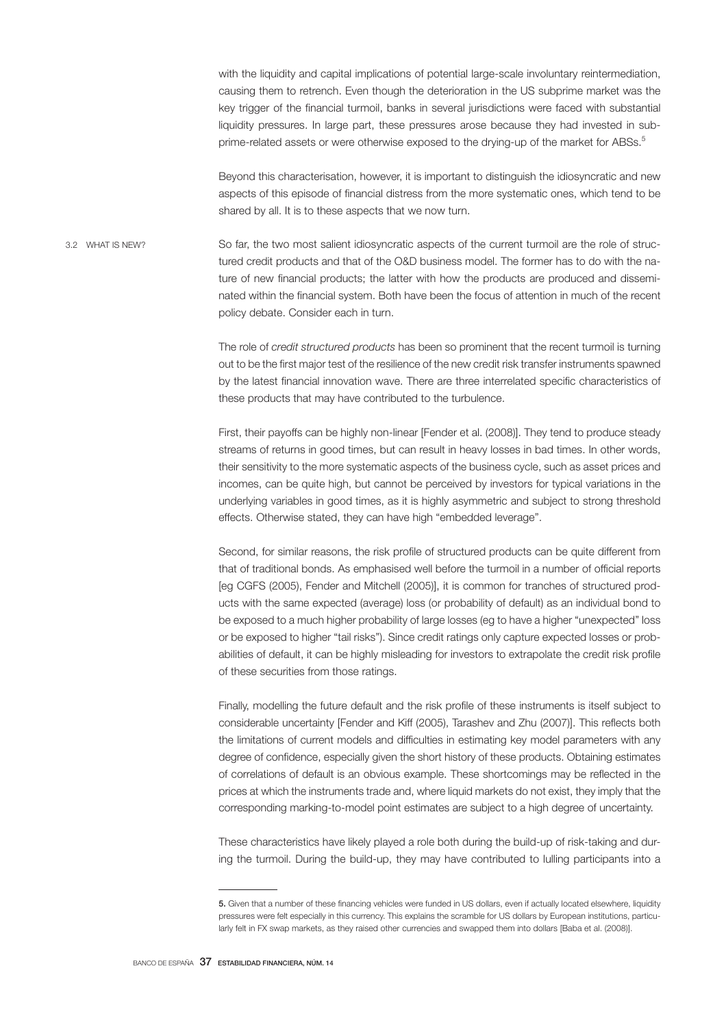with the liquidity and capital implications of potential large-scale involuntary reintermediation, causing them to retrench. Even though the deterioration in the US subprime market was the key trigger of the financial turmoil, banks in several jurisdictions were faced with substantial liquidity pressures. In large part, these pressures arose because they had invested in subprime-related assets or were otherwise exposed to the drying-up of the market for ABSs.<sup>5</sup>

Beyond this characterisation, however, it is important to distinguish the idiosyncratic and new aspects of this episode of financial distress from the more systematic ones, which tend to be shared by all. It is to these aspects that we now turn.

So far, the two most salient idiosyncratic aspects of the current turmoil are the role of structured credit products and that of the O&D business model. The former has to do with the nature of new financial products; the latter with how the products are produced and disseminated within the financial system. Both have been the focus of attention in much of the recent policy debate. Consider each in turn. 3.2 WHAT IS NEW?

> The role of *credit structured products* has been so prominent that the recent turmoil is turning out to be the first major test of the resilience of the new credit risk transfer instruments spawned by the latest financial innovation wave. There are three interrelated specific characteristics of these products that may have contributed to the turbulence.

> First, their payoffs can be highly non-linear [Fender et al. (2008)]. They tend to produce steady streams of returns in good times, but can result in heavy losses in bad times. In other words, their sensitivity to the more systematic aspects of the business cycle, such as asset prices and incomes, can be quite high, but cannot be perceived by investors for typical variations in the underlying variables in good times, as it is highly asymmetric and subject to strong threshold effects. Otherwise stated, they can have high "embedded leverage".

> Second, for similar reasons, the risk profile of structured products can be quite different from that of traditional bonds. As emphasised well before the turmoil in a number of official reports [eg CGFS (2005), Fender and Mitchell (2005)], it is common for tranches of structured products with the same expected (average) loss (or probability of default) as an individual bond to be exposed to a much higher probability of large losses (eg to have a higher "unexpected" loss or be exposed to higher "tail risks"). Since credit ratings only capture expected losses or probabilities of default, it can be highly misleading for investors to extrapolate the credit risk profile of these securities from those ratings.

> Finally, modelling the future default and the risk profile of these instruments is itself subject to considerable uncertainty [Fender and Kiff (2005), Tarashev and Zhu (2007)]. This reflects both the limitations of current models and difficulties in estimating key model parameters with any degree of confidence, especially given the short history of these products. Obtaining estimates of correlations of default is an obvious example. These shortcomings may be reflected in the prices at which the instruments trade and, where liquid markets do not exist, they imply that the corresponding marking-to-model point estimates are subject to a high degree of uncertainty.

> These characteristics have likely played a role both during the build-up of risk-taking and during the turmoil. During the build-up, they may have contributed to lulling participants into a

<sup>5.</sup> Given that a number of these financing vehicles were funded in US dollars, even if actually located elsewhere, liquidity pressures were felt especially in this currency. This explains the scramble for US dollars by European institutions, particularly felt in FX swap markets, as they raised other currencies and swapped them into dollars [Baba et al. (2008)].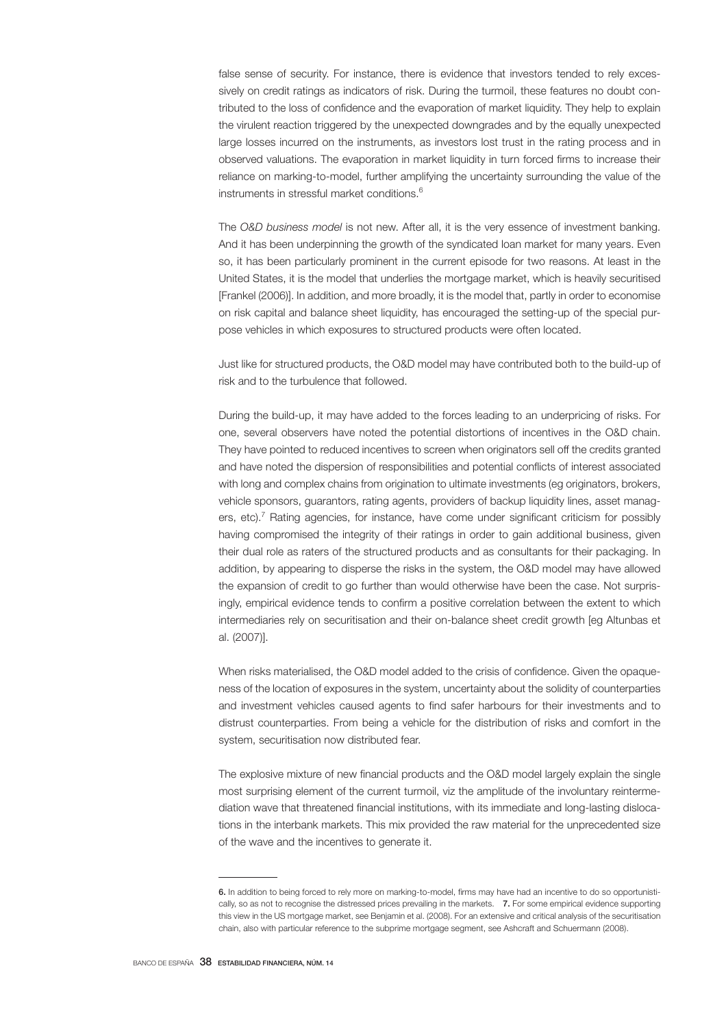false sense of security. For instance, there is evidence that investors tended to rely excessively on credit ratings as indicators of risk. During the turmoil, these features no doubt contributed to the loss of confidence and the evaporation of market liquidity. They help to explain the virulent reaction triggered by the unexpected downgrades and by the equally unexpected large losses incurred on the instruments, as investors lost trust in the rating process and in observed valuations. The evaporation in market liquidity in turn forced firms to increase their reliance on marking-to-model, further amplifying the uncertainty surrounding the value of the instruments in stressful market conditions.<sup>6</sup>

The *O&D business model* is not new. After all, it is the very essence of investment banking. And it has been underpinning the growth of the syndicated loan market for many years. Even so, it has been particularly prominent in the current episode for two reasons. At least in the United States, it is the model that underlies the mortgage market, which is heavily securitised [Frankel (2006)]. In addition, and more broadly, it is the model that, partly in order to economise on risk capital and balance sheet liquidity, has encouraged the setting-up of the special purpose vehicles in which exposures to structured products were often located.

Just like for structured products, the O&D model may have contributed both to the build-up of risk and to the turbulence that followed.

During the build-up, it may have added to the forces leading to an underpricing of risks. For one, several observers have noted the potential distortions of incentives in the O&D chain. They have pointed to reduced incentives to screen when originators sell off the credits granted and have noted the dispersion of responsibilities and potential conflicts of interest associated with long and complex chains from origination to ultimate investments (eg originators, brokers, vehicle sponsors, guarantors, rating agents, providers of backup liquidity lines, asset managers, etc).<sup>7</sup> Rating agencies, for instance, have come under significant criticism for possibly having compromised the integrity of their ratings in order to gain additional business, given their dual role as raters of the structured products and as consultants for their packaging. In addition, by appearing to disperse the risks in the system, the O&D model may have allowed the expansion of credit to go further than would otherwise have been the case. Not surprisingly, empirical evidence tends to confirm a positive correlation between the extent to which intermediaries rely on securitisation and their on-balance sheet credit growth [eg Altunbas et al. (2007)].

When risks materialised, the O&D model added to the crisis of confidence. Given the opaqueness of the location of exposures in the system, uncertainty about the solidity of counterparties and investment vehicles caused agents to find safer harbours for their investments and to distrust counterparties. From being a vehicle for the distribution of risks and comfort in the system, securitisation now distributed fear.

The explosive mixture of new financial products and the O&D model largely explain the single most surprising element of the current turmoil, viz the amplitude of the involuntary reintermediation wave that threatened financial institutions, with its immediate and long-lasting dislocations in the interbank markets. This mix provided the raw material for the unprecedented size of the wave and the incentives to generate it.

<sup>6.</sup> In addition to being forced to rely more on marking-to-model, firms may have had an incentive to do so opportunistically, so as not to recognise the distressed prices prevailing in the markets. 7. For some empirical evidence supporting this view in the US mortgage market, see Benjamin et al. (2008). For an extensive and critical analysis of the securitisation chain, also with particular reference to the subprime mortgage segment, see Ashcraft and Schuermann (2008).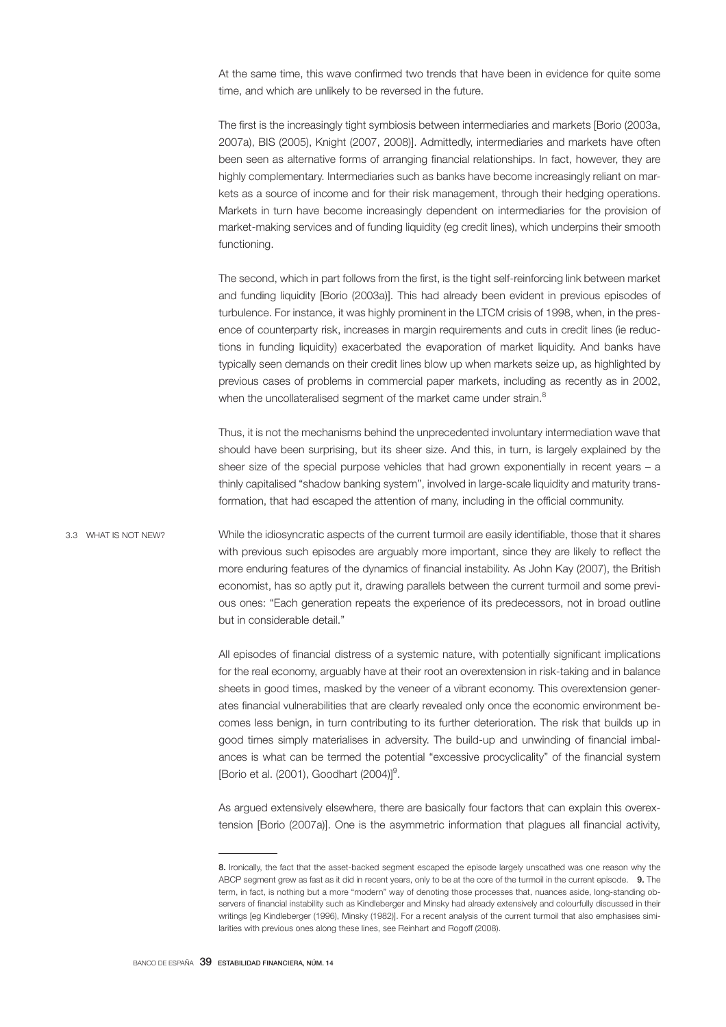At the same time, this wave confirmed two trends that have been in evidence for quite some time, and which are unlikely to be reversed in the future.

The first is the increasingly tight symbiosis between intermediaries and markets [Borio (2003a, 2007a), BIS (2005), Knight (2007, 2008)]. Admittedly, intermediaries and markets have often been seen as alternative forms of arranging financial relationships. In fact, however, they are highly complementary. Intermediaries such as banks have become increasingly reliant on markets as a source of income and for their risk management, through their hedging operations. Markets in turn have become increasingly dependent on intermediaries for the provision of market-making services and of funding liquidity (eg credit lines), which underpins their smooth functioning.

The second, which in part follows from the first, is the tight self-reinforcing link between market and funding liquidity [Borio (2003a)]. This had already been evident in previous episodes of turbulence. For instance, it was highly prominent in the LTCM crisis of 1998, when, in the presence of counterparty risk, increases in margin requirements and cuts in credit lines (ie reductions in funding liquidity) exacerbated the evaporation of market liquidity. And banks have typically seen demands on their credit lines blow up when markets seize up, as highlighted by previous cases of problems in commercial paper markets, including as recently as in 2002, when the uncollateralised segment of the market came under strain.<sup>8</sup>

Thus, it is not the mechanisms behind the unprecedented involuntary intermediation wave that should have been surprising, but its sheer size. And this, in turn, is largely explained by the sheer size of the special purpose vehicles that had grown exponentially in recent years – a thinly capitalised "shadow banking system", involved in large-scale liquidity and maturity transformation, that had escaped the attention of many, including in the official community.

While the idiosyncratic aspects of the current turmoil are easily identifiable, those that it shares with previous such episodes are arguably more important, since they are likely to reflect the more enduring features of the dynamics of financial instability. As John Kay (2007), the British economist, has so aptly put it, drawing parallels between the current turmoil and some previous ones: "Each generation repeats the experience of its predecessors, not in broad outline but in considerable detail." 3.3 WHAT IS NOT NEW?

> All episodes of financial distress of a systemic nature, with potentially significant implications for the real economy, arguably have at their root an overextension in risk-taking and in balance sheets in good times, masked by the veneer of a vibrant economy. This overextension generates financial vulnerabilities that are clearly revealed only once the economic environment becomes less benign, in turn contributing to its further deterioration. The risk that builds up in good times simply materialises in adversity. The build-up and unwinding of financial imbalances is what can be termed the potential "excessive procyclicality" of the financial system [Borio et al. (2001), Goodhart (2004)]<sup>9</sup>.

> As argued extensively elsewhere, there are basically four factors that can explain this overextension [Borio (2007a)]. One is the asymmetric information that plagues all financial activity,

<sup>8.</sup> Ironically, the fact that the asset-backed segment escaped the episode largely unscathed was one reason why the ABCP segment grew as fast as it did in recent years, only to be at the core of the turmoil in the current episode. 9. The term, in fact, is nothing but a more "modern" way of denoting those processes that, nuances aside, long-standing observers of financial instability such as Kindleberger and Minsky had already extensively and colourfully discussed in their writings [eg Kindleberger (1996), Minsky (1982)]. For a recent analysis of the current turmoil that also emphasises similarities with previous ones along these lines, see Reinhart and Rogoff (2008).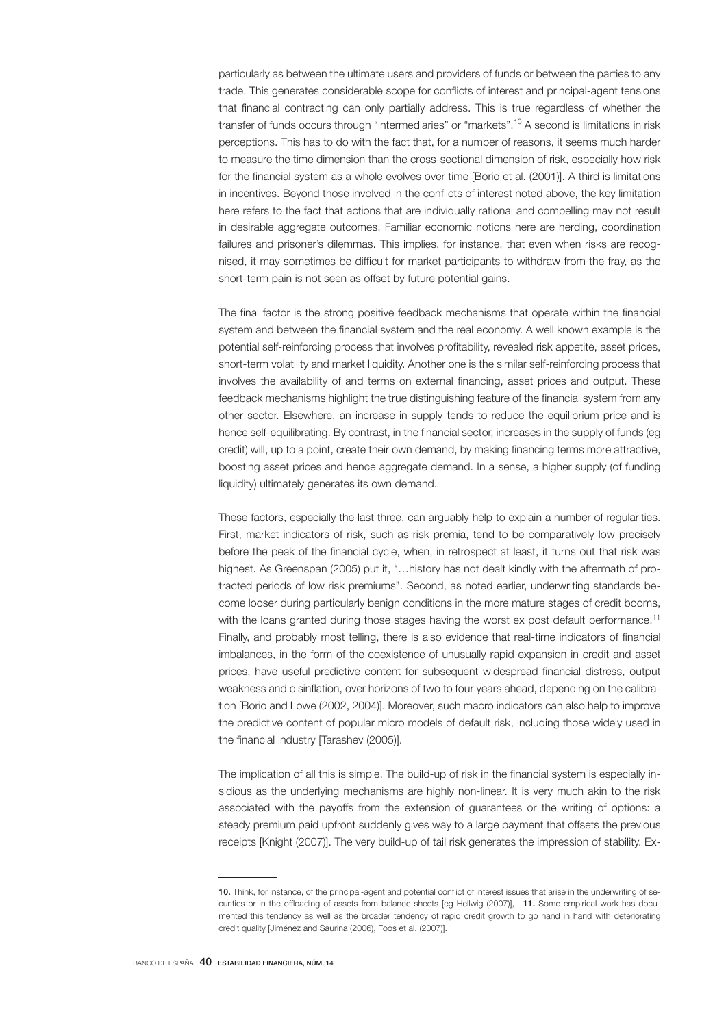particularly as between the ultimate users and providers of funds or between the parties to any trade. This generates considerable scope for conflicts of interest and principal-agent tensions that financial contracting can only partially address. This is true regardless of whether the transfer of funds occurs through "intermediaries" or "markets".<sup>10</sup> A second is limitations in risk perceptions. This has to do with the fact that, for a number of reasons, it seems much harder to measure the time dimension than the cross-sectional dimension of risk, especially how risk for the financial system as a whole evolves over time [Borio et al. (2001)]. A third is limitations in incentives. Beyond those involved in the conflicts of interest noted above, the key limitation here refers to the fact that actions that are individually rational and compelling may not result in desirable aggregate outcomes. Familiar economic notions here are herding, coordination failures and prisoner's dilemmas. This implies, for instance, that even when risks are recognised, it may sometimes be difficult for market participants to withdraw from the fray, as the short-term pain is not seen as offset by future potential gains.

The final factor is the strong positive feedback mechanisms that operate within the financial system and between the financial system and the real economy. A well known example is the potential self-reinforcing process that involves profitability, revealed risk appetite, asset prices, short-term volatility and market liquidity. Another one is the similar self-reinforcing process that involves the availability of and terms on external financing, asset prices and output. These feedback mechanisms highlight the true distinguishing feature of the financial system from any other sector. Elsewhere, an increase in supply tends to reduce the equilibrium price and is hence self-equilibrating. By contrast, in the financial sector, increases in the supply of funds (eg credit) will, up to a point, create their own demand, by making financing terms more attractive, boosting asset prices and hence aggregate demand. In a sense, a higher supply (of funding liquidity) ultimately generates its own demand.

These factors, especially the last three, can arguably help to explain a number of regularities. First, market indicators of risk, such as risk premia, tend to be comparatively low precisely before the peak of the financial cycle, when, in retrospect at least, it turns out that risk was highest. As Greenspan (2005) put it, "...history has not dealt kindly with the aftermath of protracted periods of low risk premiums". Second, as noted earlier, underwriting standards become looser during particularly benign conditions in the more mature stages of credit booms, with the loans granted during those stages having the worst ex post default performance.<sup>11</sup> Finally, and probably most telling, there is also evidence that real-time indicators of financial imbalances, in the form of the coexistence of unusually rapid expansion in credit and asset prices, have useful predictive content for subsequent widespread financial distress, output weakness and disinflation, over horizons of two to four years ahead, depending on the calibration [Borio and Lowe (2002, 2004)]. Moreover, such macro indicators can also help to improve the predictive content of popular micro models of default risk, including those widely used in the financial industry [Tarashev (2005)].

The implication of all this is simple. The build-up of risk in the financial system is especially insidious as the underlying mechanisms are highly non-linear. It is very much akin to the risk associated with the payoffs from the extension of guarantees or the writing of options: a steady premium paid upfront suddenly gives way to a large payment that offsets the previous receipts [Knight (2007)]. The very build-up of tail risk generates the impression of stability. Ex-

<sup>10.</sup> Think, for instance, of the principal-agent and potential conflict of interest issues that arise in the underwriting of securities or in the offloading of assets from balance sheets [eq Hellwig (2007)], 11. Some empirical work has documented this tendency as well as the broader tendency of rapid credit growth to go hand in hand with deteriorating credit quality [Jiménez and Saurina (2006), Foos et al. (2007)].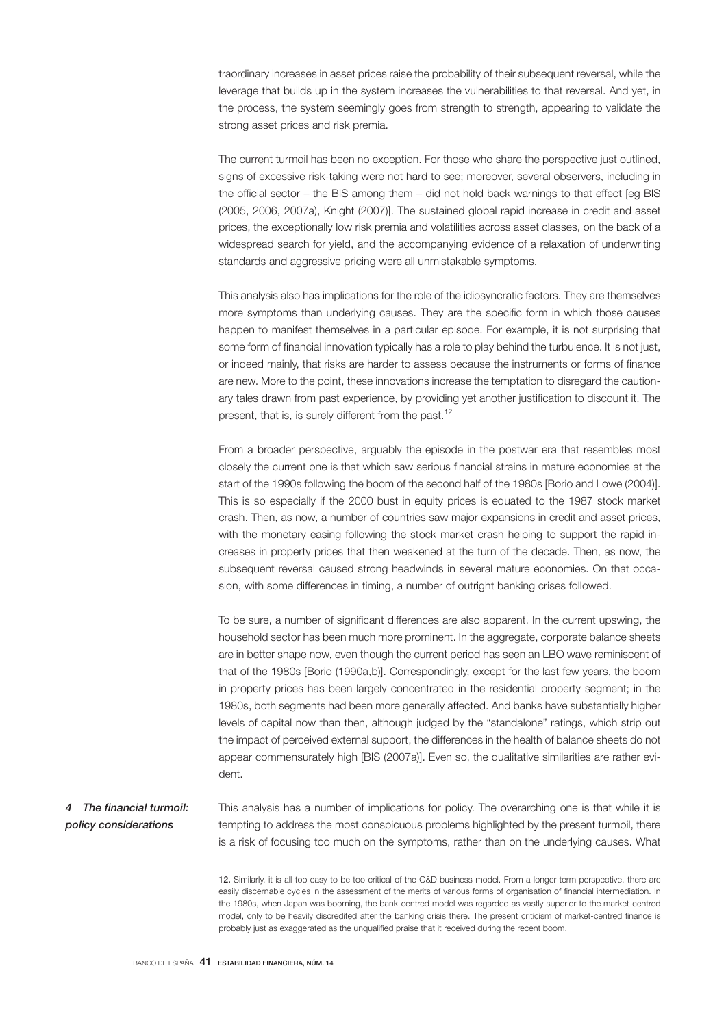traordinary increases in asset prices raise the probability of their subsequent reversal, while the leverage that builds up in the system increases the vulnerabilities to that reversal. And yet, in the process, the system seemingly goes from strength to strength, appearing to validate the strong asset prices and risk premia.

The current turmoil has been no exception. For those who share the perspective just outlined, signs of excessive risk-taking were not hard to see; moreover, several observers, including in the official sector – the BIS among them – did not hold back warnings to that effect [eg BIS (2005, 2006, 2007a), Knight (2007)]. The sustained global rapid increase in credit and asset prices, the exceptionally low risk premia and volatilities across asset classes, on the back of a widespread search for yield, and the accompanying evidence of a relaxation of underwriting standards and aggressive pricing were all unmistakable symptoms.

This analysis also has implications for the role of the idiosyncratic factors. They are themselves more symptoms than underlying causes. They are the specific form in which those causes happen to manifest themselves in a particular episode. For example, it is not surprising that some form of financial innovation typically has a role to play behind the turbulence. It is not just, or indeed mainly, that risks are harder to assess because the instruments or forms of finance are new. More to the point, these innovations increase the temptation to disregard the cautionary tales drawn from past experience, by providing yet another justification to discount it. The present, that is, is surely different from the past.<sup>12</sup>

From a broader perspective, arguably the episode in the postwar era that resembles most closely the current one is that which saw serious financial strains in mature economies at the start of the 1990s following the boom of the second half of the 1980s [Borio and Lowe (2004)]. This is so especially if the 2000 bust in equity prices is equated to the 1987 stock market crash. Then, as now, a number of countries saw major expansions in credit and asset prices, with the monetary easing following the stock market crash helping to support the rapid increases in property prices that then weakened at the turn of the decade. Then, as now, the subsequent reversal caused strong headwinds in several mature economies. On that occasion, with some differences in timing, a number of outright banking crises followed.

To be sure, a number of significant differences are also apparent. In the current upswing, the household sector has been much more prominent. In the aggregate, corporate balance sheets are in better shape now, even though the current period has seen an LBO wave reminiscent of that of the 1980s [Borio (1990a,b)]. Correspondingly, except for the last few years, the boom in property prices has been largely concentrated in the residential property segment; in the 1980s, both segments had been more generally affected. And banks have substantially higher levels of capital now than then, although judged by the "standalone" ratings, which strip out the impact of perceived external support, the differences in the health of balance sheets do not appear commensurately high [BIS (2007a)]. Even so, the qualitative similarities are rather evident.

This analysis has a number of implications for policy. The overarching one is that while it is tempting to address the most conspicuous problems highlighted by the present turmoil, there is a risk of focusing too much on the symptoms, rather than on the underlying causes. What *4 The financial turmoil: policy considerations*

<sup>12.</sup> Similarly, it is all too easy to be too critical of the O&D business model. From a longer-term perspective, there are easily discernable cycles in the assessment of the merits of various forms of organisation of financial intermediation. In the 1980s, when Japan was booming, the bank-centred model was regarded as vastly superior to the market-centred model, only to be heavily discredited after the banking crisis there. The present criticism of market-centred finance is probably just as exaggerated as the unqualified praise that it received during the recent boom.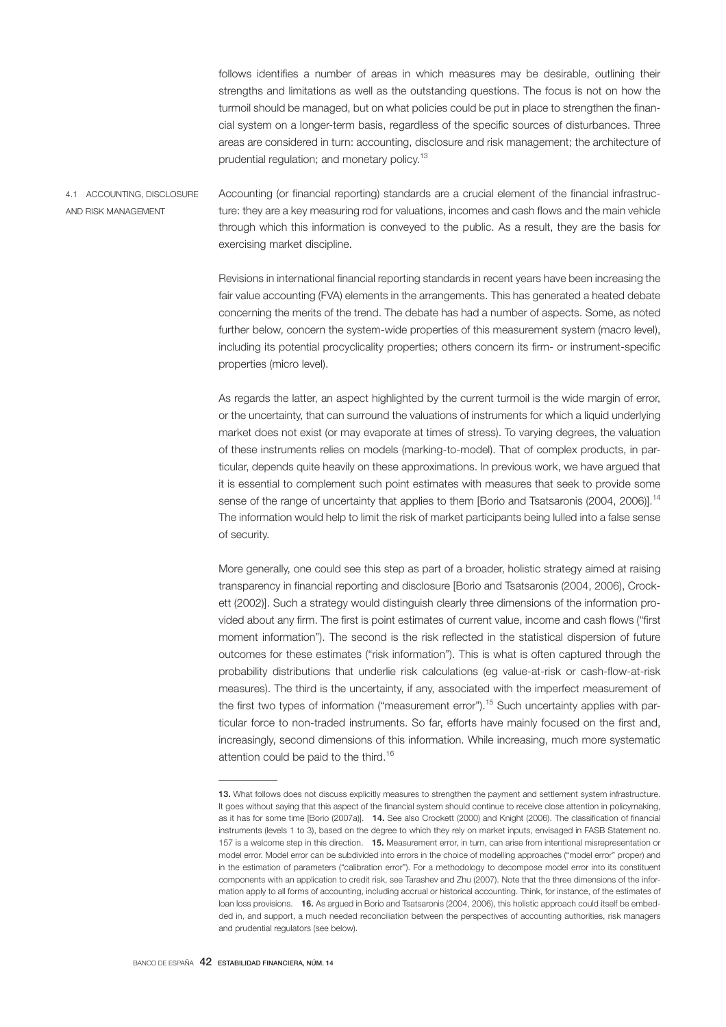follows identifies a number of areas in which measures may be desirable, outlining their strengths and limitations as well as the outstanding questions. The focus is not on how the turmoil should be managed, but on what policies could be put in place to strengthen the financial system on a longer-term basis, regardless of the specific sources of disturbances. Three areas are considered in turn: accounting, disclosure and risk management; the architecture of prudential regulation; and monetary policy.<sup>13</sup>

Accounting (or financial reporting) standards are a crucial element of the financial infrastructure: they are a key measuring rod for valuations, incomes and cash flows and the main vehicle through which this information is conveyed to the public. As a result, they are the basis for exercising market discipline. 4.1 ACCOUNTING, DISCLOSURE AND RISK MANAGEMENT

> Revisions in international financial reporting standards in recent years have been increasing the fair value accounting (FVA) elements in the arrangements. This has generated a heated debate concerning the merits of the trend. The debate has had a number of aspects. Some, as noted further below, concern the system-wide properties of this measurement system (macro level), including its potential procyclicality properties; others concern its firm- or instrument-specific properties (micro level).

> As regards the latter, an aspect highlighted by the current turmoil is the wide margin of error, or the uncertainty, that can surround the valuations of instruments for which a liquid underlying market does not exist (or may evaporate at times of stress). To varying degrees, the valuation of these instruments relies on models (marking-to-model). That of complex products, in particular, depends quite heavily on these approximations. In previous work, we have argued that it is essential to complement such point estimates with measures that seek to provide some sense of the range of uncertainty that applies to them [Borio and Tsatsaronis (2004, 2006)].<sup>14</sup> The information would help to limit the risk of market participants being lulled into a false sense of security.

> More generally, one could see this step as part of a broader, holistic strategy aimed at raising transparency in financial reporting and disclosure [Borio and Tsatsaronis (2004, 2006), Crockett (2002)]. Such a strategy would distinguish clearly three dimensions of the information provided about any firm. The first is point estimates of current value, income and cash flows ("first moment information"). The second is the risk reflected in the statistical dispersion of future outcomes for these estimates ("risk information"). This is what is often captured through the probability distributions that underlie risk calculations (eg value-at-risk or cash-flow-at-risk measures). The third is the uncertainty, if any, associated with the imperfect measurement of the first two types of information ("measurement error").15 Such uncertainty applies with particular force to non-traded instruments. So far, efforts have mainly focused on the first and, increasingly, second dimensions of this information. While increasing, much more systematic attention could be paid to the third.<sup>16</sup>

<sup>13.</sup> What follows does not discuss explicitly measures to strengthen the payment and settlement system infrastructure. It goes without saying that this aspect of the financial system should continue to receive close attention in policymaking, as it has for some time [Borio (2007a)]. 14. See also Crockett (2000) and Knight (2006). The classification of financial instruments (levels 1 to 3), based on the degree to which they rely on market inputs, envisaged in FASB Statement no. 157 is a welcome step in this direction. 15. Measurement error, in turn, can arise from intentional misrepresentation or model error. Model error can be subdivided into errors in the choice of modelling approaches ("model error" proper) and in the estimation of parameters ("calibration error"). For a methodology to decompose model error into its constituent components with an application to credit risk, see Tarashev and Zhu (2007). Note that the three dimensions of the information apply to all forms of accounting, including accrual or historical accounting. Think, for instance, of the estimates of loan loss provisions. 16. As argued in Borio and Tsatsaronis (2004, 2006), this holistic approach could itself be embedded in, and support, a much needed reconciliation between the perspectives of accounting authorities, risk managers and prudential regulators (see below).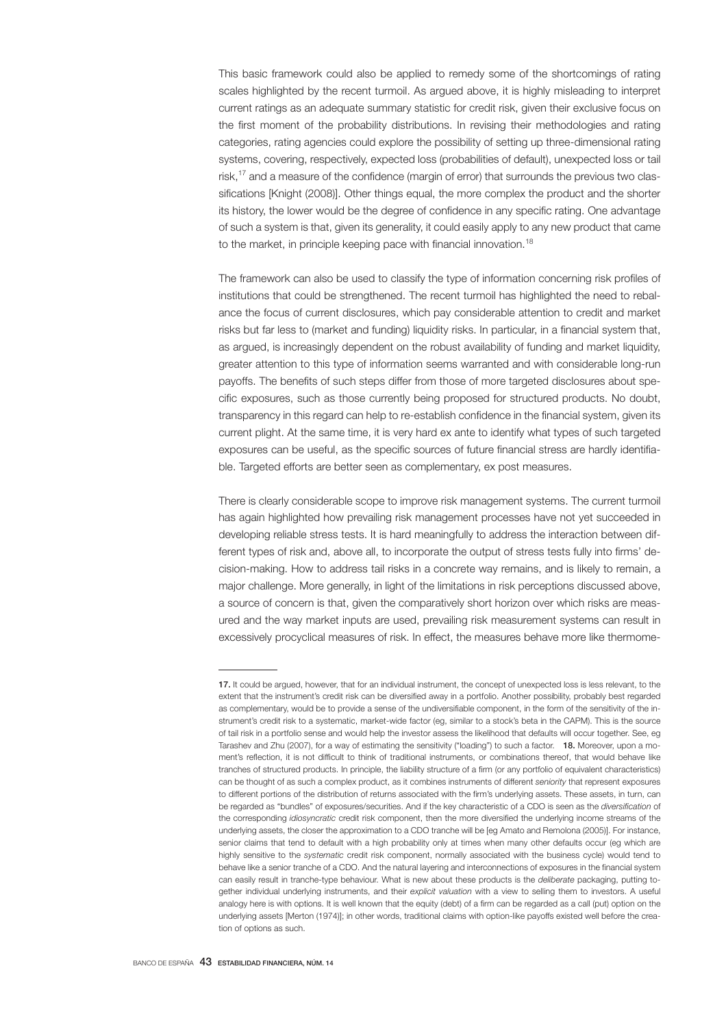This basic framework could also be applied to remedy some of the shortcomings of rating scales highlighted by the recent turmoil. As argued above, it is highly misleading to interpret current ratings as an adequate summary statistic for credit risk, given their exclusive focus on the first moment of the probability distributions. In revising their methodologies and rating categories, rating agencies could explore the possibility of setting up three-dimensional rating systems, covering, respectively, expected loss (probabilities of default), unexpected loss or tail risk,<sup>17</sup> and a measure of the confidence (margin of error) that surrounds the previous two classifications [Knight (2008)]. Other things equal, the more complex the product and the shorter its history, the lower would be the degree of confidence in any specific rating. One advantage of such a system is that, given its generality, it could easily apply to any new product that came to the market, in principle keeping pace with financial innovation.<sup>18</sup>

The framework can also be used to classify the type of information concerning risk profiles of institutions that could be strengthened. The recent turmoil has highlighted the need to rebalance the focus of current disclosures, which pay considerable attention to credit and market risks but far less to (market and funding) liquidity risks. In particular, in a financial system that, as argued, is increasingly dependent on the robust availability of funding and market liquidity, greater attention to this type of information seems warranted and with considerable long-run payoffs. The benefits of such steps differ from those of more targeted disclosures about specific exposures, such as those currently being proposed for structured products. No doubt, transparency in this regard can help to re-establish confidence in the financial system, given its current plight. At the same time, it is very hard ex ante to identify what types of such targeted exposures can be useful, as the specific sources of future financial stress are hardly identifiable. Targeted efforts are better seen as complementary, ex post measures.

There is clearly considerable scope to improve risk management systems. The current turmoil has again highlighted how prevailing risk management processes have not yet succeeded in developing reliable stress tests. It is hard meaningfully to address the interaction between different types of risk and, above all, to incorporate the output of stress tests fully into firms' decision-making. How to address tail risks in a concrete way remains, and is likely to remain, a major challenge. More generally, in light of the limitations in risk perceptions discussed above, a source of concern is that, given the comparatively short horizon over which risks are measured and the way market inputs are used, prevailing risk measurement systems can result in excessively procyclical measures of risk. In effect, the measures behave more like thermome-

<sup>17.</sup> It could be argued, however, that for an individual instrument, the concept of unexpected loss is less relevant, to the extent that the instrument's credit risk can be diversified away in a portfolio. Another possibility, probably best regarded as complementary, would be to provide a sense of the undiversifiable component, in the form of the sensitivity of the instrument's credit risk to a systematic, market-wide factor (eg, similar to a stock's beta in the CAPM). This is the source of tail risk in a portfolio sense and would help the investor assess the likelihood that defaults will occur together. See, eg Tarashev and Zhu (2007), for a way of estimating the sensitivity ("loading") to such a factor. **18.** Moreover, upon a moment's reflection, it is not difficult to think of traditional instruments, or combinations thereof, that would behave like tranches of structured products. In principle, the liability structure of a firm (or any portfolio of equivalent characteristics) can be thought of as such a complex product, as it combines instruments of different *seniority* that represent exposures to different portions of the distribution of returns associated with the firm's underlying assets. These assets, in turn, can be regarded as "bundles" of exposures/securities. And if the key characteristic of a CDO is seen as the *diversification* of the corresponding *idiosyncratic* credit risk component, then the more diversified the underlying income streams of the underlying assets, the closer the approximation to a CDO tranche will be [eg Amato and Remolona (2005)]. For instance, senior claims that tend to default with a high probability only at times when many other defaults occur (eg which are highly sensitive to the *systematic* credit risk component, normally associated with the business cycle) would tend to behave like a senior tranche of a CDO. And the natural layering and interconnections of exposures in the financial system can easily result in tranche-type behaviour. What is new about these products is the *deliberate* packaging, putting together individual underlying instruments, and their *explicit valuation* with a view to selling them to investors. A useful analogy here is with options. It is well known that the equity (debt) of a firm can be regarded as a call (put) option on the underlying assets [Merton (1974)]; in other words, traditional claims with option-like payoffs existed well before the creation of options as such.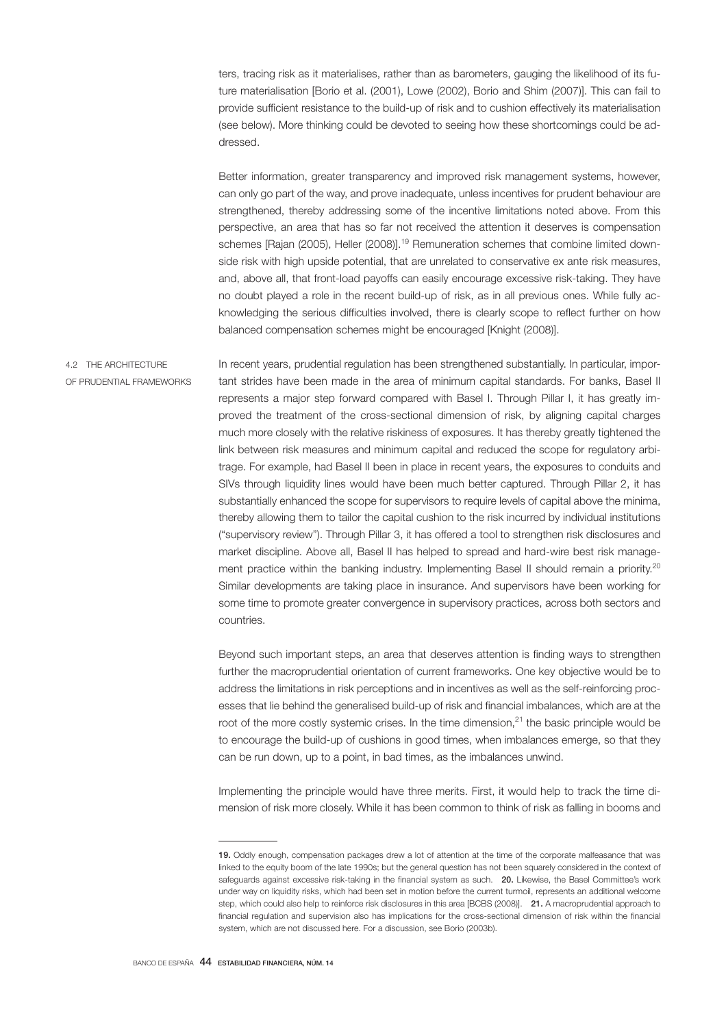ters, tracing risk as it materialises, rather than as barometers, gauging the likelihood of its future materialisation [Borio et al. (2001), Lowe (2002), Borio and Shim (2007)]. This can fail to provide sufficient resistance to the build-up of risk and to cushion effectively its materialisation (see below). More thinking could be devoted to seeing how these shortcomings could be addressed.

Better information, greater transparency and improved risk management systems, however, can only go part of the way, and prove inadequate, unless incentives for prudent behaviour are strengthened, thereby addressing some of the incentive limitations noted above. From this perspective, an area that has so far not received the attention it deserves is compensation schemes [Rajan (2005), Heller (2008)].<sup>19</sup> Remuneration schemes that combine limited downside risk with high upside potential, that are unrelated to conservative ex ante risk measures, and, above all, that front-load payoffs can easily encourage excessive risk-taking. They have no doubt played a role in the recent build-up of risk, as in all previous ones. While fully acknowledging the serious difficulties involved, there is clearly scope to reflect further on how balanced compensation schemes might be encouraged [Knight (2008)].

In recent years, prudential regulation has been strengthened substantially. In particular, important strides have been made in the area of minimum capital standards. For banks, Basel II represents a major step forward compared with Basel I. Through Pillar I, it has greatly improved the treatment of the cross-sectional dimension of risk, by aligning capital charges much more closely with the relative riskiness of exposures. It has thereby greatly tightened the link between risk measures and minimum capital and reduced the scope for regulatory arbitrage. For example, had Basel II been in place in recent years, the exposures to conduits and SIVs through liquidity lines would have been much better captured. Through Pillar 2, it has substantially enhanced the scope for supervisors to require levels of capital above the minima, thereby allowing them to tailor the capital cushion to the risk incurred by individual institutions ("supervisory review"). Through Pillar 3, it has offered a tool to strengthen risk disclosures and market discipline. Above all, Basel II has helped to spread and hard-wire best risk management practice within the banking industry. Implementing Basel II should remain a priority.<sup>20</sup> Similar developments are taking place in insurance. And supervisors have been working for some time to promote greater convergence in supervisory practices, across both sectors and countries. 4.2 THE ARCHITECTURE OF PRUDENTIAL FRAMEWORKS

> Beyond such important steps, an area that deserves attention is finding ways to strengthen further the macroprudential orientation of current frameworks. One key objective would be to address the limitations in risk perceptions and in incentives as well as the self-reinforcing processes that lie behind the generalised build-up of risk and financial imbalances, which are at the root of the more costly systemic crises. In the time dimension, $^{21}$  the basic principle would be to encourage the build-up of cushions in good times, when imbalances emerge, so that they can be run down, up to a point, in bad times, as the imbalances unwind.

> Implementing the principle would have three merits. First, it would help to track the time dimension of risk more closely. While it has been common to think of risk as falling in booms and

<sup>19.</sup> Oddly enough, compensation packages drew a lot of attention at the time of the corporate malfeasance that was linked to the equity boom of the late 1990s; but the general question has not been squarely considered in the context of safeguards against excessive risk-taking in the financial system as such. 20. Likewise, the Basel Committee's work under way on liquidity risks, which had been set in motion before the current turmoil, represents an additional welcome step, which could also help to reinforce risk disclosures in this area [BCBS (2008)]. 21. A macroprudential approach to financial regulation and supervision also has implications for the cross-sectional dimension of risk within the financial system, which are not discussed here. For a discussion, see Borio (2003b).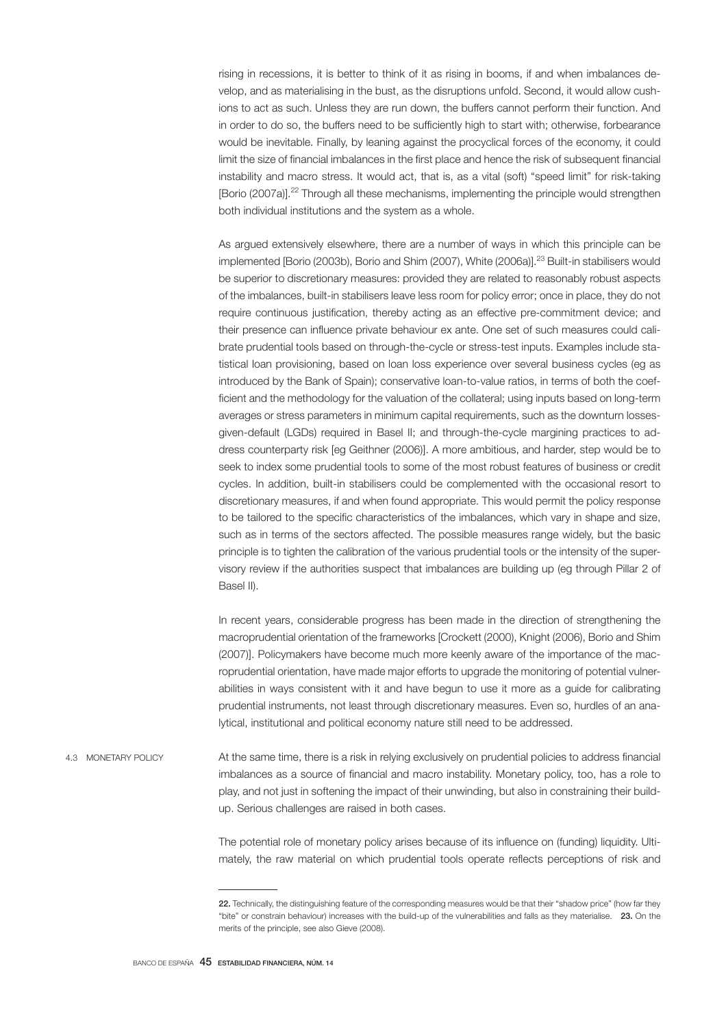rising in recessions, it is better to think of it as rising in booms, if and when imbalances develop, and as materialising in the bust, as the disruptions unfold. Second, it would allow cushions to act as such. Unless they are run down, the buffers cannot perform their function. And in order to do so, the buffers need to be sufficiently high to start with; otherwise, forbearance would be inevitable. Finally, by leaning against the procyclical forces of the economy, it could limit the size of financial imbalances in the first place and hence the risk of subsequent financial instability and macro stress. It would act, that is, as a vital (soft) "speed limit" for risk-taking [Borio (2007a)].<sup>22</sup> Through all these mechanisms, implementing the principle would strengthen both individual institutions and the system as a whole.

As argued extensively elsewhere, there are a number of ways in which this principle can be implemented [Borio (2003b), Borio and Shim (2007), White (2006a)].23 Built-in stabilisers would be superior to discretionary measures: provided they are related to reasonably robust aspects of the imbalances, built-in stabilisers leave less room for policy error; once in place, they do not require continuous justification, thereby acting as an effective pre-commitment device; and their presence can influence private behaviour ex ante. One set of such measures could calibrate prudential tools based on through-the-cycle or stress-test inputs. Examples include statistical loan provisioning, based on loan loss experience over several business cycles (eg as introduced by the Bank of Spain); conservative loan-to-value ratios, in terms of both the coefficient and the methodology for the valuation of the collateral; using inputs based on long-term averages or stress parameters in minimum capital requirements, such as the downturn lossesgiven-default (LGDs) required in Basel II; and through-the-cycle margining practices to address counterparty risk [eg Geithner (2006)]. A more ambitious, and harder, step would be to seek to index some prudential tools to some of the most robust features of business or credit cycles. In addition, built-in stabilisers could be complemented with the occasional resort to discretionary measures, if and when found appropriate. This would permit the policy response to be tailored to the specific characteristics of the imbalances, which vary in shape and size, such as in terms of the sectors affected. The possible measures range widely, but the basic principle is to tighten the calibration of the various prudential tools or the intensity of the supervisory review if the authorities suspect that imbalances are building up (eg through Pillar 2 of Basel II).

In recent years, considerable progress has been made in the direction of strengthening the macroprudential orientation of the frameworks [Crockett (2000), Knight (2006), Borio and Shim (2007)]. Policymakers have become much more keenly aware of the importance of the macroprudential orientation, have made major efforts to upgrade the monitoring of potential vulnerabilities in ways consistent with it and have begun to use it more as a guide for calibrating prudential instruments, not least through discretionary measures. Even so, hurdles of an analytical, institutional and political economy nature still need to be addressed.

At the same time, there is a risk in relying exclusively on prudential policies to address financial imbalances as a source of financial and macro instability. Monetary policy, too, has a role to play, and not just in softening the impact of their unwinding, but also in constraining their buildup. Serious challenges are raised in both cases. 4.3 MONETARY POLICY

> The potential role of monetary policy arises because of its influence on (funding) liquidity. Ultimately, the raw material on which prudential tools operate reflects perceptions of risk and

<sup>22.</sup> Technically, the distinguishing feature of the corresponding measures would be that their "shadow price" (how far they "bite" or constrain behaviour) increases with the build-up of the vulnerabilities and falls as they materialise. 23. On the merits of the principle, see also Gieve (2008).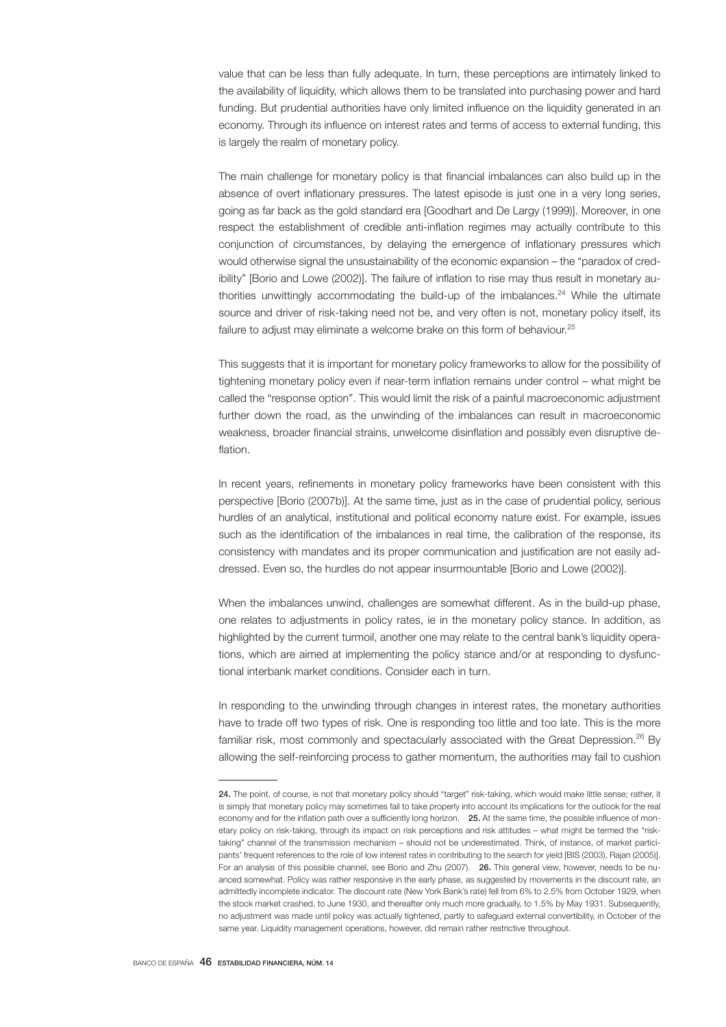value that can be less than fully adequate. In turn, these perceptions are intimately linked to the availability of liquidity, which allows them to be translated into purchasing power and hard funding. But prudential authorities have only limited influence on the liquidity generated in an economy. Through its influence on interest rates and terms of access to external funding, this is largely the realm of monetary policy.

The main challenge for monetary policy is that financial imbalances can also build up in the absence of overt inflationary pressures. The latest episode is just one in a very long series, going as far back as the gold standard era [Goodhart and De Largy (1999)]. Moreover, in one respect the establishment of credible anti-inflation regimes may actually contribute to this conjunction of circumstances, by delaying the emergence of inflationary pressures which would otherwise signal the unsustainability of the economic expansion – the "paradox of credibility" [Borio and Lowe (2002)]. The failure of inflation to rise may thus result in monetary authorities unwittingly accommodating the build-up of the imbalances.<sup>24</sup> While the ultimate source and driver of risk-taking need not be, and very often is not, monetary policy itself, its failure to adjust may eliminate a welcome brake on this form of behaviour.<sup>25</sup>

This suggests that it is important for monetary policy frameworks to allow for the possibility of tightening monetary policy even if near-term inflation remains under control – what might be called the "response option". This would limit the risk of a painful macroeconomic adjustment further down the road, as the unwinding of the imbalances can result in macroeconomic weakness, broader financial strains, unwelcome disinflation and possibly even disruptive deflation.

In recent years, refinements in monetary policy frameworks have been consistent with this perspective [Borio (2007b)]. At the same time, just as in the case of prudential policy, serious hurdles of an analytical, institutional and political economy nature exist. For example, issues such as the identification of the imbalances in real time, the calibration of the response, its consistency with mandates and its proper communication and justification are not easily addressed. Even so, the hurdles do not appear insurmountable [Borio and Lowe (2002)].

When the imbalances unwind, challenges are somewhat different. As in the build-up phase, one relates to adjustments in policy rates, ie in the monetary policy stance. In addition, as highlighted by the current turmoil, another one may relate to the central bank's liquidity operations, which are aimed at implementing the policy stance and/or at responding to dysfunctional interbank market conditions. Consider each in turn.

In responding to the unwinding through changes in interest rates, the monetary authorities have to trade off two types of risk. One is responding too little and too late. This is the more familiar risk, most commonly and spectacularly associated with the Great Depression.<sup>26</sup> By allowing the self-reinforcing process to gather momentum, the authorities may fail to cushion

<sup>24.</sup> The point, of course, is not that monetary policy should "target" risk-taking, which would make little sense; rather, it is simply that monetary policy may sometimes fail to take properly into account its implications for the outlook for the real economy and for the inflation path over a sufficiently long horizon. 25. At the same time, the possible influence of monetary policy on risk-taking, through its impact on risk perceptions and risk attitudes – what might be termed the "risktaking" channel of the transmission mechanism – should not be underestimated. Think, of instance, of market participants' frequent references to the role of low interest rates in contributing to the search for yield [BIS (2003), Rajan (2005)]. For an analysis of this possible channel, see Borio and Zhu (2007). 26. This general view, however, needs to be nuanced somewhat. Policy was rather responsive in the early phase, as suggested by movements in the discount rate, an admittedly incomplete indicator. The discount rate (New York Bank's rate) fell from 6% to 2.5% from October 1929, when the stock market crashed, to June 1930, and thereafter only much more gradually, to 1.5% by May 1931. Subsequently, no adjustment was made until policy was actually tightened, partly to safeguard external convertibility, in October of the same year. Liquidity management operations, however, did remain rather restrictive throughout.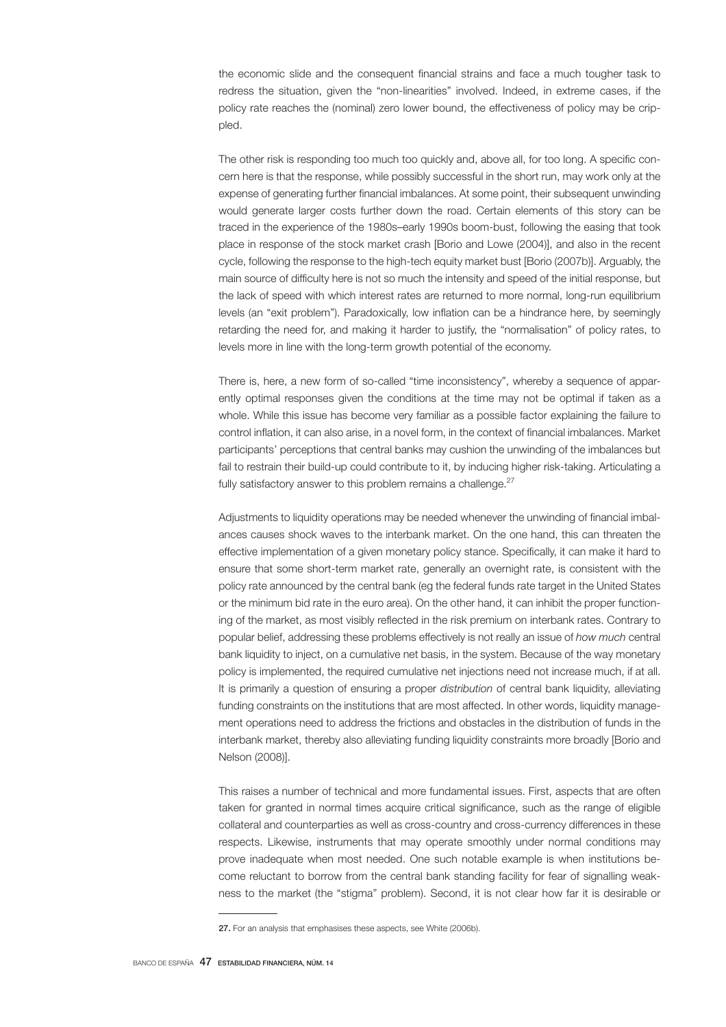the economic slide and the consequent financial strains and face a much tougher task to redress the situation, given the "non-linearities" involved. Indeed, in extreme cases, if the policy rate reaches the (nominal) zero lower bound, the effectiveness of policy may be crippled.

The other risk is responding too much too quickly and, above all, for too long. A specific concern here is that the response, while possibly successful in the short run, may work only at the expense of generating further financial imbalances. At some point, their subsequent unwinding would generate larger costs further down the road. Certain elements of this story can be traced in the experience of the 1980s–early 1990s boom-bust, following the easing that took place in response of the stock market crash [Borio and Lowe (2004)], and also in the recent cycle, following the response to the high-tech equity market bust [Borio (2007b)]. Arguably, the main source of difficulty here is not so much the intensity and speed of the initial response, but the lack of speed with which interest rates are returned to more normal, long-run equilibrium levels (an "exit problem"). Paradoxically, low inflation can be a hindrance here, by seemingly retarding the need for, and making it harder to justify, the "normalisation" of policy rates, to levels more in line with the long-term growth potential of the economy.

There is, here, a new form of so-called "time inconsistency", whereby a sequence of apparently optimal responses given the conditions at the time may not be optimal if taken as a whole. While this issue has become very familiar as a possible factor explaining the failure to control inflation, it can also arise, in a novel form, in the context of financial imbalances. Market participants' perceptions that central banks may cushion the unwinding of the imbalances but fail to restrain their build-up could contribute to it, by inducing higher risk-taking. Articulating a fully satisfactory answer to this problem remains a challenge. $27$ 

Adjustments to liquidity operations may be needed whenever the unwinding of financial imbalances causes shock waves to the interbank market. On the one hand, this can threaten the effective implementation of a given monetary policy stance. Specifically, it can make it hard to ensure that some short-term market rate, generally an overnight rate, is consistent with the policy rate announced by the central bank (eg the federal funds rate target in the United States or the minimum bid rate in the euro area). On the other hand, it can inhibit the proper functioning of the market, as most visibly reflected in the risk premium on interbank rates. Contrary to popular belief, addressing these problems effectively is not really an issue of *how much* central bank liquidity to inject, on a cumulative net basis, in the system. Because of the way monetary policy is implemented, the required cumulative net injections need not increase much, if at all. It is primarily a question of ensuring a proper *distribution* of central bank liquidity, alleviating funding constraints on the institutions that are most affected. In other words, liquidity management operations need to address the frictions and obstacles in the distribution of funds in the interbank market, thereby also alleviating funding liquidity constraints more broadly [Borio and Nelson (2008)].

This raises a number of technical and more fundamental issues. First, aspects that are often taken for granted in normal times acquire critical significance, such as the range of eligible collateral and counterparties as well as cross-country and cross-currency differences in these respects. Likewise, instruments that may operate smoothly under normal conditions may prove inadequate when most needed. One such notable example is when institutions become reluctant to borrow from the central bank standing facility for fear of signalling weakness to the market (the "stigma" problem). Second, it is not clear how far it is desirable or

<sup>27.</sup> For an analysis that emphasises these aspects, see White (2006b).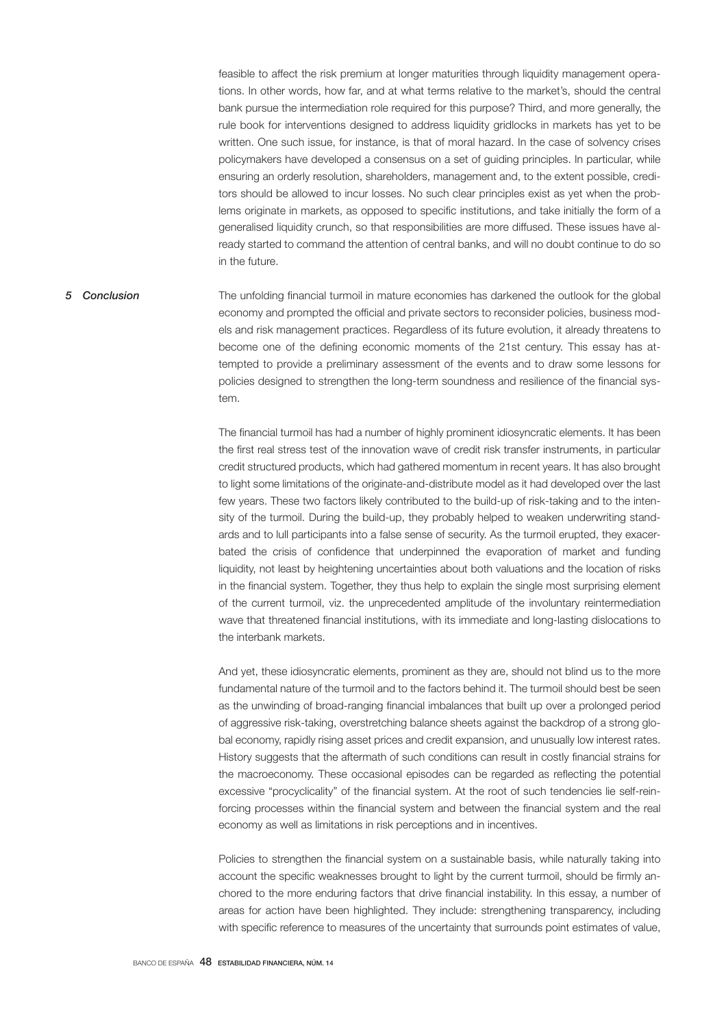feasible to affect the risk premium at longer maturities through liquidity management operations. In other words, how far, and at what terms relative to the market's, should the central bank pursue the intermediation role required for this purpose? Third, and more generally, the rule book for interventions designed to address liquidity gridlocks in markets has yet to be written. One such issue, for instance, is that of moral hazard. In the case of solvency crises policymakers have developed a consensus on a set of guiding principles. In particular, while ensuring an orderly resolution, shareholders, management and, to the extent possible, creditors should be allowed to incur losses. No such clear principles exist as yet when the problems originate in markets, as opposed to specific institutions, and take initially the form of a generalised liquidity crunch, so that responsibilities are more diffused. These issues have already started to command the attention of central banks, and will no doubt continue to do so in the future.

# The unfolding financial turmoil in mature economies has darkened the outlook for the global economy and prompted the official and private sectors to reconsider policies, business models and risk management practices. Regardless of its future evolution, it already threatens to become one of the defining economic moments of the 21st century. This essay has attempted to provide a preliminary assessment of the events and to draw some lessons for policies designed to strengthen the long-term soundness and resilience of the financial system. *5 Conclusion*

The financial turmoil has had a number of highly prominent idiosyncratic elements. It has been the first real stress test of the innovation wave of credit risk transfer instruments, in particular credit structured products, which had gathered momentum in recent years. It has also brought to light some limitations of the originate-and-distribute model as it had developed over the last few years. These two factors likely contributed to the build-up of risk-taking and to the intensity of the turmoil. During the build-up, they probably helped to weaken underwriting standards and to lull participants into a false sense of security. As the turmoil erupted, they exacerbated the crisis of confidence that underpinned the evaporation of market and funding liquidity, not least by heightening uncertainties about both valuations and the location of risks in the financial system. Together, they thus help to explain the single most surprising element of the current turmoil, viz. the unprecedented amplitude of the involuntary reintermediation wave that threatened financial institutions, with its immediate and long-lasting dislocations to the interbank markets.

And yet, these idiosyncratic elements, prominent as they are, should not blind us to the more fundamental nature of the turmoil and to the factors behind it. The turmoil should best be seen as the unwinding of broad-ranging financial imbalances that built up over a prolonged period of aggressive risk-taking, overstretching balance sheets against the backdrop of a strong global economy, rapidly rising asset prices and credit expansion, and unusually low interest rates. History suggests that the aftermath of such conditions can result in costly financial strains for the macroeconomy. These occasional episodes can be regarded as reflecting the potential excessive "procyclicality" of the financial system. At the root of such tendencies lie self-reinforcing processes within the financial system and between the financial system and the real economy as well as limitations in risk perceptions and in incentives.

Policies to strengthen the financial system on a sustainable basis, while naturally taking into account the specific weaknesses brought to light by the current turmoil, should be firmly anchored to the more enduring factors that drive financial instability. In this essay, a number of areas for action have been highlighted. They include: strengthening transparency, including with specific reference to measures of the uncertainty that surrounds point estimates of value,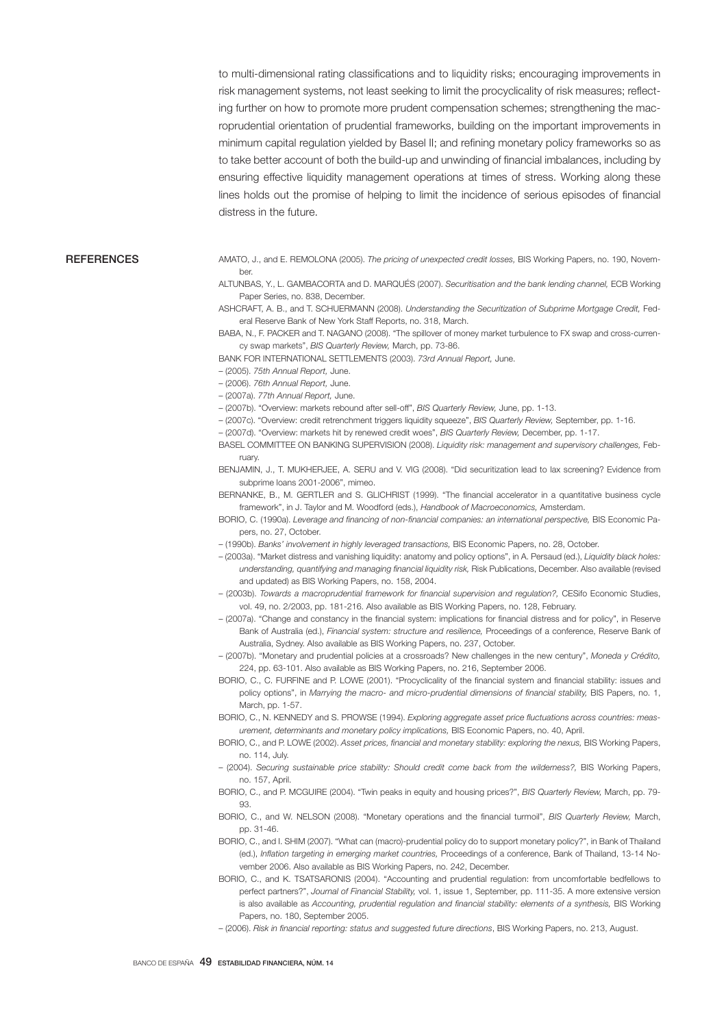to multi-dimensional rating classifications and to liquidity risks; encouraging improvements in risk management systems, not least seeking to limit the procyclicality of risk measures; reflecting further on how to promote more prudent compensation schemes; strengthening the macroprudential orientation of prudential frameworks, building on the important improvements in minimum capital regulation yielded by Basel II; and refining monetary policy frameworks so as to take better account of both the build-up and unwinding of financial imbalances, including by ensuring effective liquidity management operations at times of stress. Working along these lines holds out the promise of helping to limit the incidence of serious episodes of financial distress in the future.

#### **REFERENCES**

AMATO, J., and E. REMOLONA (2005). *The pricing of unexpected credit losses,* BIS Working Papers, no. 190, November.

ALTUNBAS, Y., L. GAMBACORTA and D. MARQUÉS (2007). *Securitisation and the bank lending channel,* ECB Working Paper Series, no. 838, December.

ASHCRAFT, A. B., and T. SCHUERMANN (2008). *Understanding the Securitization of Subprime Mortgage Credit,* Federal Reserve Bank of New York Staff Reports, no. 318, March.

BABA, N., F. PACKER and T. NAGANO (2008). "The spillover of money market turbulence to FX swap and cross-currency swap markets", *BIS Quarterly Review,* March, pp. 73-86.

BANK FOR INTERNATIONAL SETTLEMENTS (2003). *73rd Annual Report,* June.

– (2005). *75th Annual Report,* June.

– (2006). *76th Annual Report,* June.

– (2007a). *77th Annual Report,* June.

– (2007b). "Overview: markets rebound after sell-off", *BIS Quarterly Review,* June, pp. 1-13.

– (2007c). "Overview: credit retrenchment triggers liquidity squeeze", *BIS Quarterly Review,* September, pp. 1-16.

– (2007d). "Overview: markets hit by renewed credit woes", *BIS Quarterly Review,* December, pp. 1-17.

BASEL COMMITTEE ON BANKING SUPERVISION (2008). *Liquidity risk: management and supervisory challenges,* February.

BENJAMIN, J., T. MUKHERJEE, A. SERU and V. VIG (2008). "Did securitization lead to lax screening? Evidence from subprime loans 2001-2006", mimeo.

BERNANKE, B., M. GERTLER and S. GLICHRIST (1999). "The financial accelerator in a quantitative business cycle framework", in J. Taylor and M. Woodford (eds.), *Handbook of Macroeconomics,* Amsterdam.

BORIO, C. (1990a). *Leverage and financing of non-financial companies: an international perspective,* BIS Economic Papers, no. 27, October.

– (1990b). *Banks' involvement in highly leveraged transactions,* BIS Economic Papers, no. 28, October.

- (2003a). "Market distress and vanishing liquidity: anatomy and policy options", in A. Persaud (ed.), *Liquidity black holes: understanding, quantifying and managing financial liquidity risk,* Risk Publications, December. Also available (revised and updated) as BIS Working Papers, no. 158, 2004.
- (2003b). *Towards a macroprudential framework for financial supervision and regulation?,* CESifo Economic Studies, vol. 49, no. 2/2003, pp. 181-216. Also available as BIS Working Papers, no. 128, February.
- (2007a). "Change and constancy in the financial system: implications for financial distress and for policy", in Reserve Bank of Australia (ed.), *Financial system: structure and resilience,* Proceedings of a conference, Reserve Bank of Australia, Sydney. Also available as BIS Working Papers, no. 237, October.
- (2007b). "Monetary and prudential policies at a crossroads? New challenges in the new century", *Moneda y Crédito,*  224, pp. 63-101. Also available as BIS Working Papers, no. 216, September 2006.
- BORIO, C., C. FURFINE and P. LOWE (2001). "Procyclicality of the financial system and financial stability: issues and policy options", in *Marrying the macro- and micro-prudential dimensions of financial stability,* BIS Papers, no. 1, March, pp. 1-57.
- BORIO, C., N. KENNEDY and S. PROWSE (1994). *Exploring aggregate asset price fluctuations across countries: measurement, determinants and monetary policy implications,* BIS Economic Papers, no. 40, April.
- BORIO, C., and P. LOWE (2002). *Asset prices, financial and monetary stability: exploring the nexus,* BIS Working Papers, no. 114, July.
- (2004). *Securing sustainable price stability: Should credit come back from the wilderness?,* BIS Working Papers, no. 157, April.

BORIO, C., and P. MCGUIRE (2004). "Twin peaks in equity and housing prices?", *BIS Quarterly Review,* March, pp. 79- 93.

BORIO, C., and W. NELSON (2008). "Monetary operations and the financial turmoil", *BIS Quarterly Review,* March, pp. 31-46.

- BORIO, C., and I. SHIM (2007). "What can (macro)-prudential policy do to support monetary policy?", in Bank of Thailand (ed.), *Inflation targeting in emerging market countries,* Proceedings of a conference, Bank of Thailand, 13-14 November 2006. Also available as BIS Working Papers, no. 242, December.
- BORIO, C., and K. TSATSARONIS (2004). "Accounting and prudential regulation: from uncomfortable bedfellows to perfect partners?", *Journal of Financial Stability,* vol. 1, issue 1, September, pp. 111-35. A more extensive version is also available as *Accounting, prudential regulation and financial stability: elements of a synthesis,* BIS Working Papers, no. 180, September 2005.

– (2006). *Risk in financial reporting: status and suggested future directions*, BIS Working Papers, no. 213, August.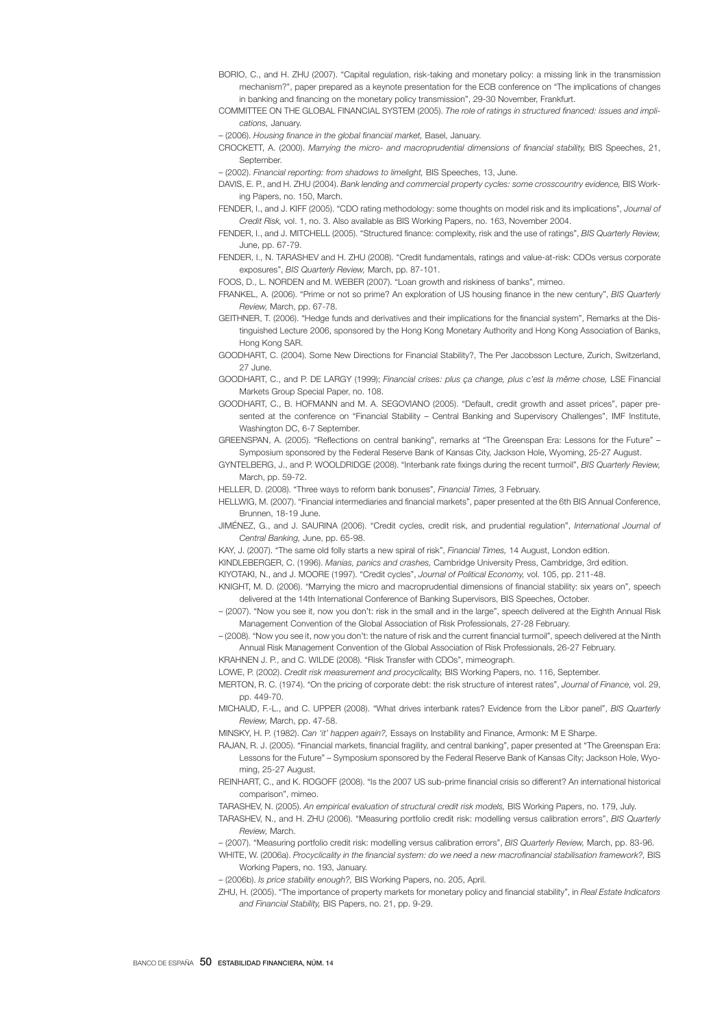- BORIO, C., and H. ZHU (2007). "Capital regulation, risk-taking and monetary policy: a missing link in the transmission mechanism?", paper prepared as a keynote presentation for the ECB conference on "The implications of changes in banking and financing on the monetary policy transmission", 29-30 November, Frankfurt.
- COMMITTEE ON THE GLOBAL FINANCIAL SYSTEM (2005). *The role of ratings in structured financed: issues and implications,* January.
- (2006). *Housing finance in the global financial market,* Basel, January.
- CROCKETT, A. (2000). *Marrying the micro- and macroprudential dimensions of financial stability,* BIS Speeches, 21, **September.**

– (2002). *Financial reporting: from shadows to limelight,* BIS Speeches, 13, June.

- DAVIS, E. P., and H. ZHU (2004). *Bank lending and commercial property cycles: some crosscountry evidence*, BIS Working Papers, no. 150, March.
- FENDER, I., and J. KIFF (2005). "CDO rating methodology: some thoughts on model risk and its implications", *Journal of Credit Risk,* vol. 1, no. 3. Also available as BIS Working Papers, no. 163, November 2004.
- FENDER, I., and J. MITCHELL (2005). "Structured finance: complexity, risk and the use of ratings", *BIS Quarterly Review,* June, pp. 67-79.
- FENDER, I., N. TARASHEV and H. ZHU (2008). "Credit fundamentals, ratings and value-at-risk: CDOs versus corporate exposures", *BIS Quarterly Review,* March, pp. 87-101.

FOOS, D., L. NORDEN and M. WEBER (2007). "Loan growth and riskiness of banks", mimeo.

- FRANKEL, A. (2006). "Prime or not so prime? An exploration of US housing finance in the new century", *BIS Quarterly Review,* March, pp. 67-78.
- GEITHNER, T. (2006). "Hedge funds and derivatives and their implications for the financial system", Remarks at the Distinguished Lecture 2006, sponsored by the Hong Kong Monetary Authority and Hong Kong Association of Banks, Hong Kong SAR.
- GOODHART, C. (2004). Some New Directions for Financial Stability?, The Per Jacobsson Lecture, Zurich, Switzerland, 27 June.
- GOODHART, C., and P. DE LARGY (1999); *Financial crises: plus ça change, plus c'est la même chose,* LSE Financial Markets Group Special Paper, no. 108.
- GOODHART, C., B. HOFMANN and M. A. SEGOVIANO (2005). "Default, credit growth and asset prices", paper presented at the conference on "Financial Stability – Central Banking and Supervisory Challenges", IMF Institute, Washington DC, 6-7 September.
- GREENSPAN, A. (2005). "Reflections on central banking", remarks at "The Greenspan Era: Lessons for the Future" Symposium sponsored by the Federal Reserve Bank of Kansas City, Jackson Hole, Wyoming, 25-27 August.
- GYNTELBERG, J., and P. WOOLDRIDGE (2008). "Interbank rate fixings during the recent turmoil", *BIS Quarterly Review,* March, pp. 59-72.

HELLER, D. (2008). "Three ways to reform bank bonuses", *Financial Times,* 3 February.

- HELLWIG, M. (2007). "Financial intermediaries and financial markets", paper presented at the 6th BIS Annual Conference, Brunnen, 18-19 June.
- JIMÉNEZ, G., and J. SAURINA (2006). "Credit cycles, credit risk, and prudential regulation", *International Journal of Central Banking,* June, pp. 65-98.
- KAY, J. (2007). "The same old folly starts a new spiral of risk", *Financial Times,* 14 August, London edition.
- KINDLEBERGER, C. (1996). *Manias, panics and crashes,* Cambridge University Press, Cambridge, 3rd edition.

KIYOTAKI, N., and J. MOORE (1997). "Credit cycles", *Journal of Political Economy,* vol. 105, pp. 211-48.

- KNIGHT, M. D. (2006). "Marrying the micro and macroprudential dimensions of financial stability: six years on", speech delivered at the 14th International Conference of Banking Supervisors, BIS Speeches, October.
- (2007). "Now you see it, now you don't: risk in the small and in the large", speech delivered at the Eighth Annual Risk Management Convention of the Global Association of Risk Professionals, 27-28 February.
- (2008). "Now you see it, now you don't: the nature of risk and the current financial turmoil", speech delivered at the Ninth Annual Risk Management Convention of the Global Association of Risk Professionals, 26-27 February.
- KRAHNEN J. P., and C. WILDE (2008). "Risk Transfer with CDOs", mimeograph.
- LOWE, P. (2002). *Credit risk measurement and procyclicality,* BIS Working Papers, no. 116, September.
- MERTON, R. C. (1974). "On the pricing of corporate debt: the risk structure of interest rates", *Journal of Finance,* vol. 29, pp. 449-70.
- MICHAUD, F.-L., and C. UPPER (2008). "What drives interbank rates? Evidence from the Libor panel", *BIS Quarterly Review,* March, pp. 47-58.
- MINSKY, H. P. (1982). *Can 'it' happen again?,* Essays on Instability and Finance, Armonk: M E Sharpe.
- RAJAN, R. J. (2005). "Financial markets, financial fragility, and central banking", paper presented at "The Greenspan Era: Lessons for the Future" – Symposium sponsored by the Federal Reserve Bank of Kansas City; Jackson Hole, Wyoming, 25-27 August.
- REINHART, C., and K. ROGOFF (2008). "Is the 2007 US sub-prime financial crisis so different? An international historical comparison", mimeo.
- TARASHEV, N. (2005). *An empirical evaluation of structural credit risk models,* BIS Working Papers, no. 179, July.

TARASHEV, N., and H. ZHU (2006). "Measuring portfolio credit risk: modelling versus calibration errors", *BIS Quarterly Review,* March.

- (2007). "Measuring portfolio credit risk: modelling versus calibration errors", *BIS Quarterly Review,* March, pp. 83-96.
- WHITE, W. (2006a). *Procyclicality in the financial system: do we need a new macrofinancial stabilisation framework?,* BIS Working Papers, no. 193, January.
- (2006b). *Is price stability enough?,* BIS Working Papers, no. 205, April.
- ZHU, H. (2005). "The importance of property markets for monetary policy and financial stability", in *Real Estate Indicators and Financial Stability,* BIS Papers, no. 21, pp. 9-29.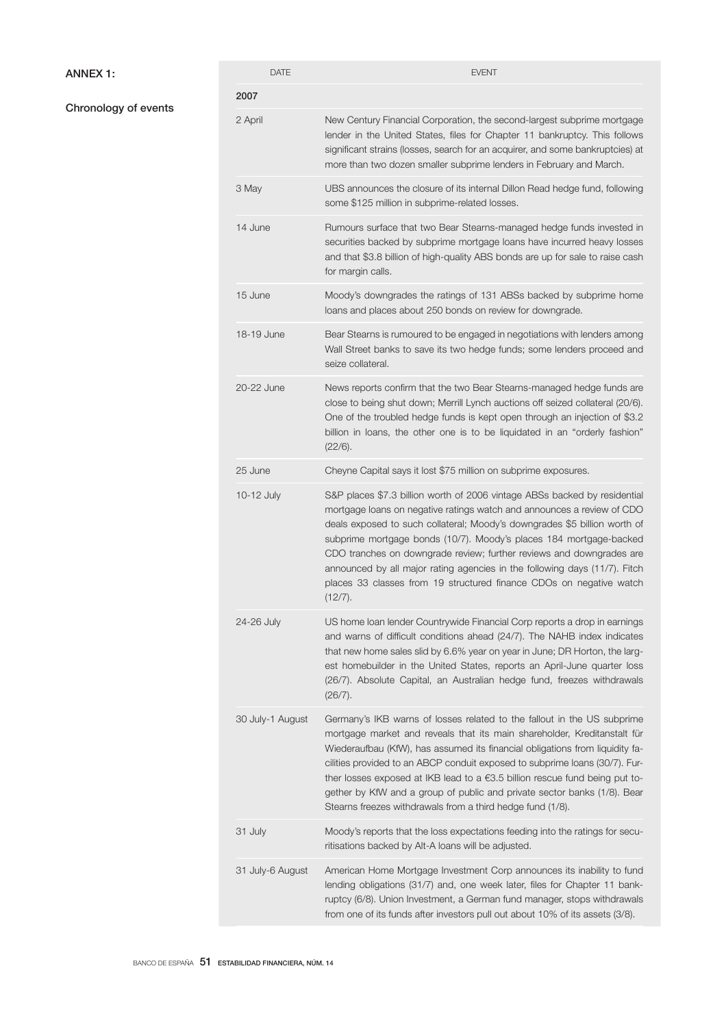# ANNEX 1:

# Chronology of events

| <b>DATE</b>      | <b>EVENT</b>                                                                                                                                                                                                                                                                                                                                                                                                                                                                                                                                          |
|------------------|-------------------------------------------------------------------------------------------------------------------------------------------------------------------------------------------------------------------------------------------------------------------------------------------------------------------------------------------------------------------------------------------------------------------------------------------------------------------------------------------------------------------------------------------------------|
| 2007             |                                                                                                                                                                                                                                                                                                                                                                                                                                                                                                                                                       |
| 2 April          | New Century Financial Corporation, the second-largest subprime mortgage<br>lender in the United States, files for Chapter 11 bankruptcy. This follows<br>significant strains (losses, search for an acquirer, and some bankruptcies) at<br>more than two dozen smaller subprime lenders in February and March.                                                                                                                                                                                                                                        |
| 3 May            | UBS announces the closure of its internal Dillon Read hedge fund, following<br>some \$125 million in subprime-related losses.                                                                                                                                                                                                                                                                                                                                                                                                                         |
| 14 June          | Rumours surface that two Bear Stearns-managed hedge funds invested in<br>securities backed by subprime mortgage loans have incurred heavy losses<br>and that \$3.8 billion of high-quality ABS bonds are up for sale to raise cash<br>for margin calls.                                                                                                                                                                                                                                                                                               |
| 15 June          | Moody's downgrades the ratings of 131 ABSs backed by subprime home<br>loans and places about 250 bonds on review for downgrade.                                                                                                                                                                                                                                                                                                                                                                                                                       |
| 18-19 June       | Bear Stearns is rumoured to be engaged in negotiations with lenders among<br>Wall Street banks to save its two hedge funds; some lenders proceed and<br>seize collateral.                                                                                                                                                                                                                                                                                                                                                                             |
| 20-22 June       | News reports confirm that the two Bear Stearns-managed hedge funds are<br>close to being shut down; Merrill Lynch auctions off seized collateral (20/6).<br>One of the troubled hedge funds is kept open through an injection of \$3.2<br>billion in loans, the other one is to be liquidated in an "orderly fashion"<br>(22/6).                                                                                                                                                                                                                      |
| 25 June          | Cheyne Capital says it lost \$75 million on subprime exposures.                                                                                                                                                                                                                                                                                                                                                                                                                                                                                       |
| 10-12 July       | S&P places \$7.3 billion worth of 2006 vintage ABSs backed by residential<br>mortgage loans on negative ratings watch and announces a review of CDO<br>deals exposed to such collateral; Moody's downgrades \$5 billion worth of<br>subprime mortgage bonds (10/7). Moody's places 184 mortgage-backed<br>CDO tranches on downgrade review; further reviews and downgrades are<br>announced by all major rating agencies in the following days (11/7). Fitch<br>places 33 classes from 19 structured finance CDOs on negative watch<br>(12/7).        |
| 24-26 July       | US home loan lender Countrywide Financial Corp reports a drop in earnings<br>and warns of difficult conditions ahead (24/7). The NAHB index indicates<br>that new home sales slid by 6.6% year on year in June; DR Horton, the larg-<br>est homebuilder in the United States, reports an April-June quarter loss<br>(26/7). Absolute Capital, an Australian hedge fund, freezes withdrawals<br>(26/7).                                                                                                                                                |
| 30 July-1 August | Germany's IKB warns of losses related to the fallout in the US subprime<br>mortgage market and reveals that its main shareholder, Kreditanstalt für<br>Wiederaufbau (KfW), has assumed its financial obligations from liquidity fa-<br>cilities provided to an ABCP conduit exposed to subprime loans (30/7). Fur-<br>ther losses exposed at IKB lead to a $\epsilon$ 3.5 billion rescue fund being put to-<br>gether by KfW and a group of public and private sector banks (1/8). Bear<br>Stearns freezes withdrawals from a third hedge fund (1/8). |
| 31 July          | Moody's reports that the loss expectations feeding into the ratings for secu-<br>ritisations backed by Alt-A loans will be adjusted.                                                                                                                                                                                                                                                                                                                                                                                                                  |
| 31 July-6 August | American Home Mortgage Investment Corp announces its inability to fund<br>lending obligations (31/7) and, one week later, files for Chapter 11 bank-<br>ruptcy (6/8). Union Investment, a German fund manager, stops withdrawals<br>from one of its funds after investors pull out about 10% of its assets (3/8).                                                                                                                                                                                                                                     |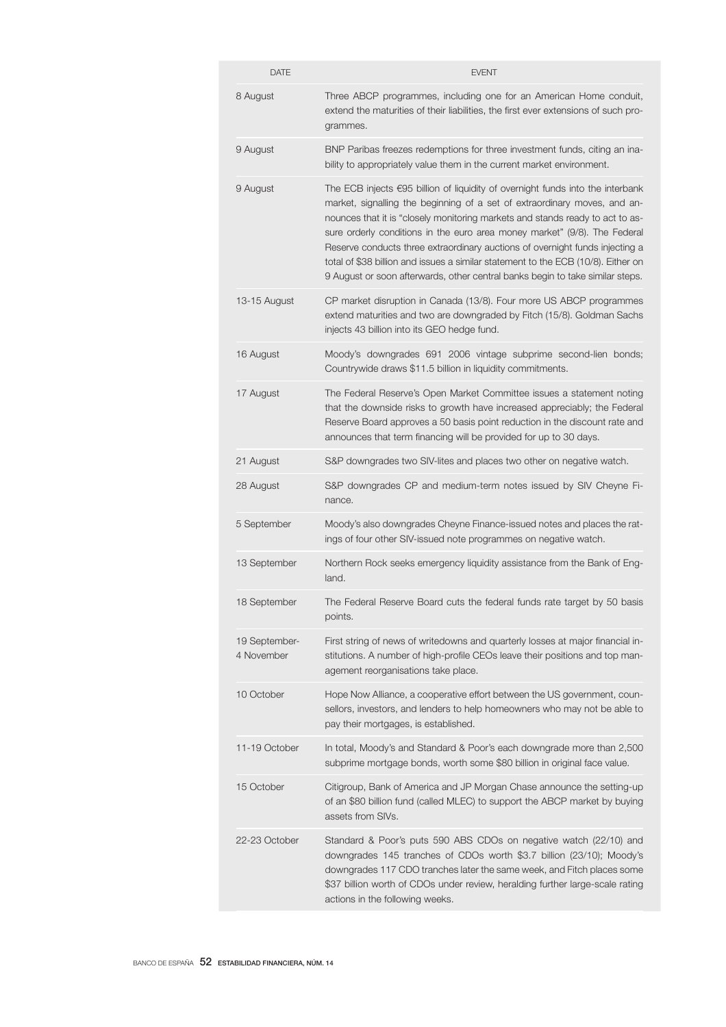| <b>DATE</b>                 | <b>EVENT</b>                                                                                                                                                                                                                                                                                                                                                                                                                                                                                                                                                                              |
|-----------------------------|-------------------------------------------------------------------------------------------------------------------------------------------------------------------------------------------------------------------------------------------------------------------------------------------------------------------------------------------------------------------------------------------------------------------------------------------------------------------------------------------------------------------------------------------------------------------------------------------|
| 8 August                    | Three ABCP programmes, including one for an American Home conduit,<br>extend the maturities of their liabilities, the first ever extensions of such pro-<br>grammes.                                                                                                                                                                                                                                                                                                                                                                                                                      |
| 9 August                    | BNP Paribas freezes redemptions for three investment funds, citing an ina-<br>bility to appropriately value them in the current market environment.                                                                                                                                                                                                                                                                                                                                                                                                                                       |
| 9 August                    | The ECB injects $\epsilon$ 95 billion of liquidity of overnight funds into the interbank<br>market, signalling the beginning of a set of extraordinary moves, and an-<br>nounces that it is "closely monitoring markets and stands ready to act to as-<br>sure orderly conditions in the euro area money market" (9/8). The Federal<br>Reserve conducts three extraordinary auctions of overnight funds injecting a<br>total of \$38 billion and issues a similar statement to the ECB (10/8). Either on<br>9 August or soon afterwards, other central banks begin to take similar steps. |
| 13-15 August                | CP market disruption in Canada (13/8). Four more US ABCP programmes<br>extend maturities and two are downgraded by Fitch (15/8). Goldman Sachs<br>injects 43 billion into its GEO hedge fund.                                                                                                                                                                                                                                                                                                                                                                                             |
| 16 August                   | Moody's downgrades 691 2006 vintage subprime second-lien bonds;<br>Countrywide draws \$11.5 billion in liquidity commitments.                                                                                                                                                                                                                                                                                                                                                                                                                                                             |
| 17 August                   | The Federal Reserve's Open Market Committee issues a statement noting<br>that the downside risks to growth have increased appreciably; the Federal<br>Reserve Board approves a 50 basis point reduction in the discount rate and<br>announces that term financing will be provided for up to 30 days.                                                                                                                                                                                                                                                                                     |
| 21 August                   | S&P downgrades two SIV-lites and places two other on negative watch.                                                                                                                                                                                                                                                                                                                                                                                                                                                                                                                      |
| 28 August                   | S&P downgrades CP and medium-term notes issued by SIV Cheyne Fi-<br>nance.                                                                                                                                                                                                                                                                                                                                                                                                                                                                                                                |
| 5 September                 | Moody's also downgrades Cheyne Finance-issued notes and places the rat-<br>ings of four other SIV-issued note programmes on negative watch.                                                                                                                                                                                                                                                                                                                                                                                                                                               |
| 13 September                | Northern Rock seeks emergency liquidity assistance from the Bank of Eng-<br>land.                                                                                                                                                                                                                                                                                                                                                                                                                                                                                                         |
| 18 September                | The Federal Reserve Board cuts the federal funds rate target by 50 basis<br>points.                                                                                                                                                                                                                                                                                                                                                                                                                                                                                                       |
| 19 September-<br>4 November | First string of news of writedowns and quarterly losses at major financial in-<br>stitutions. A number of high-profile CEOs leave their positions and top man-<br>agement reorganisations take place.                                                                                                                                                                                                                                                                                                                                                                                     |
| 10 October                  | Hope Now Alliance, a cooperative effort between the US government, coun-<br>sellors, investors, and lenders to help homeowners who may not be able to<br>pay their mortgages, is established.                                                                                                                                                                                                                                                                                                                                                                                             |
| 11-19 October               | In total, Moody's and Standard & Poor's each downgrade more than 2,500<br>subprime mortgage bonds, worth some \$80 billion in original face value.                                                                                                                                                                                                                                                                                                                                                                                                                                        |
| 15 October                  | Citigroup, Bank of America and JP Morgan Chase announce the setting-up<br>of an \$80 billion fund (called MLEC) to support the ABCP market by buying<br>assets from SIVs.                                                                                                                                                                                                                                                                                                                                                                                                                 |
| 22-23 October               | Standard & Poor's puts 590 ABS CDOs on negative watch (22/10) and<br>downgrades 145 tranches of CDOs worth \$3.7 billion (23/10); Moody's<br>downgrades 117 CDO tranches later the same week, and Fitch places some<br>\$37 billion worth of CDOs under review, heralding further large-scale rating<br>actions in the following weeks.                                                                                                                                                                                                                                                   |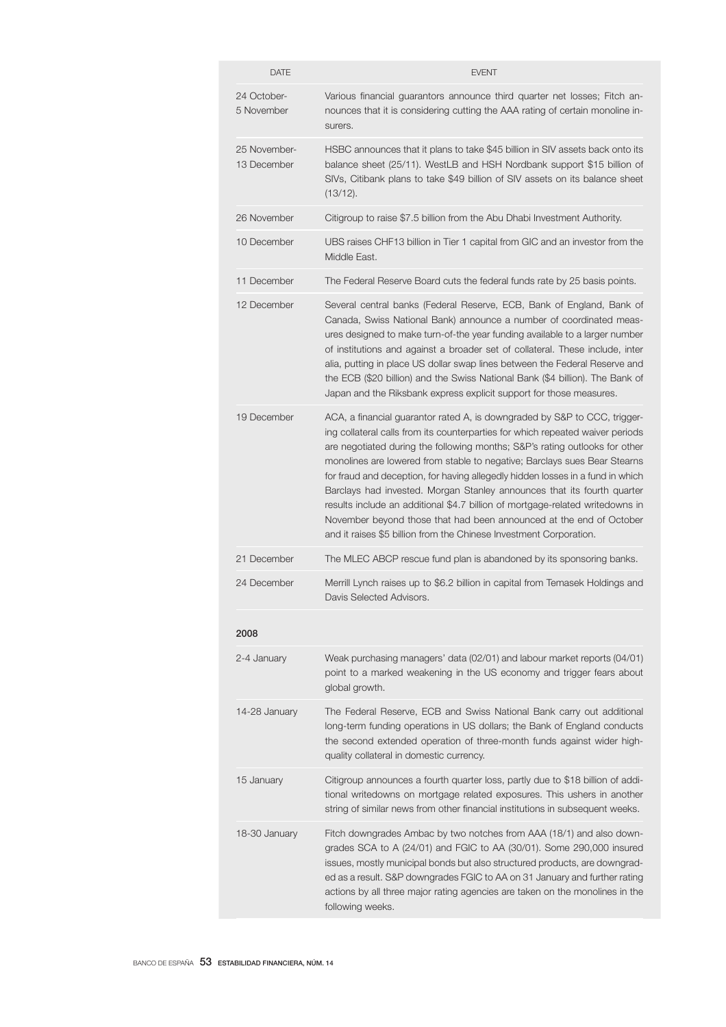| <b>DATE</b>                 | <b>EVENT</b>                                                                                                                                                                                                                                                                                                                                                                                                                                                                                                                                                                                                                                                                                                       |
|-----------------------------|--------------------------------------------------------------------------------------------------------------------------------------------------------------------------------------------------------------------------------------------------------------------------------------------------------------------------------------------------------------------------------------------------------------------------------------------------------------------------------------------------------------------------------------------------------------------------------------------------------------------------------------------------------------------------------------------------------------------|
| 24 October-<br>5 November   | Various financial guarantors announce third quarter net losses; Fitch an-<br>nounces that it is considering cutting the AAA rating of certain monoline in-<br>surers.                                                                                                                                                                                                                                                                                                                                                                                                                                                                                                                                              |
| 25 November-<br>13 December | HSBC announces that it plans to take \$45 billion in SIV assets back onto its<br>balance sheet (25/11). WestLB and HSH Nordbank support \$15 billion of<br>SIVs, Citibank plans to take \$49 billion of SIV assets on its balance sheet<br>(13/12).                                                                                                                                                                                                                                                                                                                                                                                                                                                                |
| 26 November                 | Citigroup to raise \$7.5 billion from the Abu Dhabi Investment Authority.                                                                                                                                                                                                                                                                                                                                                                                                                                                                                                                                                                                                                                          |
| 10 December                 | UBS raises CHF13 billion in Tier 1 capital from GIC and an investor from the<br>Middle East.                                                                                                                                                                                                                                                                                                                                                                                                                                                                                                                                                                                                                       |
| 11 December                 | The Federal Reserve Board cuts the federal funds rate by 25 basis points.                                                                                                                                                                                                                                                                                                                                                                                                                                                                                                                                                                                                                                          |
| 12 December                 | Several central banks (Federal Reserve, ECB, Bank of England, Bank of<br>Canada, Swiss National Bank) announce a number of coordinated meas-<br>ures designed to make turn-of-the year funding available to a larger number<br>of institutions and against a broader set of collateral. These include, inter<br>alia, putting in place US dollar swap lines between the Federal Reserve and<br>the ECB (\$20 billion) and the Swiss National Bank (\$4 billion). The Bank of<br>Japan and the Riksbank express explicit support for those measures.                                                                                                                                                                |
| 19 December                 | ACA, a financial guarantor rated A, is downgraded by S&P to CCC, trigger-<br>ing collateral calls from its counterparties for which repeated waiver periods<br>are negotiated during the following months; S&P's rating outlooks for other<br>monolines are lowered from stable to negative; Barclays sues Bear Stearns<br>for fraud and deception, for having allegedly hidden losses in a fund in which<br>Barclays had invested. Morgan Stanley announces that its fourth quarter<br>results include an additional \$4.7 billion of mortgage-related writedowns in<br>November beyond those that had been announced at the end of October<br>and it raises \$5 billion from the Chinese Investment Corporation. |
| 21 December                 | The MLEC ABCP rescue fund plan is abandoned by its sponsoring banks.                                                                                                                                                                                                                                                                                                                                                                                                                                                                                                                                                                                                                                               |
| 24 December                 | Merrill Lynch raises up to \$6.2 billion in capital from Temasek Holdings and<br>Davis Selected Advisors.                                                                                                                                                                                                                                                                                                                                                                                                                                                                                                                                                                                                          |
| 2008                        |                                                                                                                                                                                                                                                                                                                                                                                                                                                                                                                                                                                                                                                                                                                    |
| 2-4 January                 | Weak purchasing managers' data (02/01) and labour market reports (04/01)<br>point to a marked weakening in the US economy and trigger fears about<br>global growth.                                                                                                                                                                                                                                                                                                                                                                                                                                                                                                                                                |
| 14-28 January               | The Federal Reserve, ECB and Swiss National Bank carry out additional<br>long-term funding operations in US dollars; the Bank of England conducts<br>the second extended operation of three-month funds against wider high-<br>quality collateral in domestic currency.                                                                                                                                                                                                                                                                                                                                                                                                                                            |
| 15 January                  | Citigroup announces a fourth quarter loss, partly due to \$18 billion of addi-<br>tional writedowns on mortgage related exposures. This ushers in another<br>string of similar news from other financial institutions in subsequent weeks.                                                                                                                                                                                                                                                                                                                                                                                                                                                                         |
| 18-30 January               | Fitch downgrades Ambac by two notches from AAA (18/1) and also down-<br>grades SCA to A (24/01) and FGIC to AA (30/01). Some 290,000 insured<br>issues, mostly municipal bonds but also structured products, are downgrad-<br>ed as a result. S&P downgrades FGIC to AA on 31 January and further rating<br>actions by all three major rating agencies are taken on the monolines in the<br>following weeks.                                                                                                                                                                                                                                                                                                       |